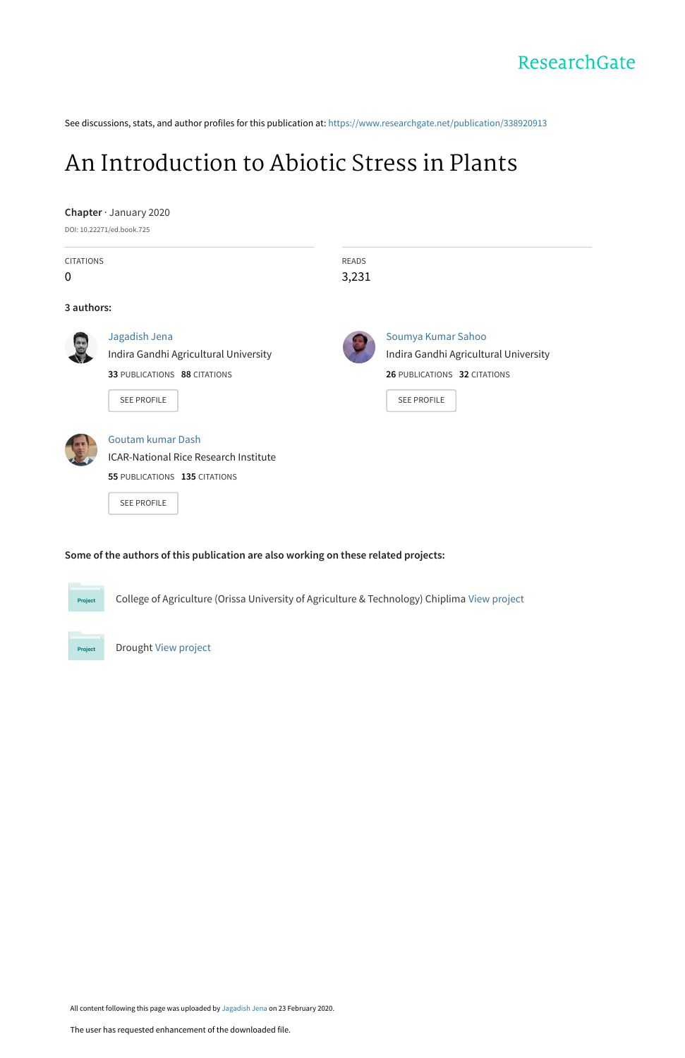## ResearchGate

See discussions, stats, and author profiles for this publication at: [https://www.researchgate.net/publication/338920913](https://www.researchgate.net/publication/338920913_An_Introduction_to_Abiotic_Stress_in_Plants?enrichId=rgreq-2d78839e9a043223f9c909162c4ba118-XXX&enrichSource=Y292ZXJQYWdlOzMzODkyMDkxMztBUzo4NjE1MzIzNTk1MTIwNjRAMTU4MjQxNjcyOTY0NQ%3D%3D&el=1_x_2&_esc=publicationCoverPdf)

## [An Introduction to Abiotic Stress in Plants](https://www.researchgate.net/publication/338920913_An_Introduction_to_Abiotic_Stress_in_Plants?enrichId=rgreq-2d78839e9a043223f9c909162c4ba118-XXX&enrichSource=Y292ZXJQYWdlOzMzODkyMDkxMztBUzo4NjE1MzIzNTk1MTIwNjRAMTU4MjQxNjcyOTY0NQ%3D%3D&el=1_x_3&_esc=publicationCoverPdf)

|                  | Chapter · January 2020<br>DOI: 10.22271/ed.book.725 |                                       |  |
|------------------|-----------------------------------------------------|---------------------------------------|--|
| <b>CITATIONS</b> |                                                     | <b>READS</b>                          |  |
| 0                |                                                     | 3,231                                 |  |
| 3 authors:       |                                                     |                                       |  |
|                  | Jagadish Jena                                       | Soumya Kumar Sahoo                    |  |
|                  | Indira Gandhi Agricultural University               | Indira Gandhi Agricultural University |  |
|                  | 33 PUBLICATIONS 88 CITATIONS                        | 26 PUBLICATIONS 32 CITATIONS          |  |
|                  | <b>SEE PROFILE</b>                                  | <b>SEE PROFILE</b>                    |  |
|                  | Goutam kumar Dash                                   |                                       |  |
|                  | <b>ICAR-National Rice Research Institute</b>        |                                       |  |
|                  | 55 PUBLICATIONS 135 CITATIONS                       |                                       |  |
|                  | <b>SEE PROFILE</b>                                  |                                       |  |

College of Agriculture (Orissa University of Agriculture & Technology) Chiplima [View project](https://www.researchgate.net/project/College-of-Agriculture-Orissa-University-of-Agriculture-Technology-Chiplima?enrichId=rgreq-2d78839e9a043223f9c909162c4ba118-XXX&enrichSource=Y292ZXJQYWdlOzMzODkyMDkxMztBUzo4NjE1MzIzNTk1MTIwNjRAMTU4MjQxNjcyOTY0NQ%3D%3D&el=1_x_9&_esc=publicationCoverPdf)



Drought [View project](https://www.researchgate.net/project/Drought-2?enrichId=rgreq-2d78839e9a043223f9c909162c4ba118-XXX&enrichSource=Y292ZXJQYWdlOzMzODkyMDkxMztBUzo4NjE1MzIzNTk1MTIwNjRAMTU4MjQxNjcyOTY0NQ%3D%3D&el=1_x_9&_esc=publicationCoverPdf)

All content following this page was uploaded by [Jagadish Jena](https://www.researchgate.net/profile/Jagadish-Jena?enrichId=rgreq-2d78839e9a043223f9c909162c4ba118-XXX&enrichSource=Y292ZXJQYWdlOzMzODkyMDkxMztBUzo4NjE1MzIzNTk1MTIwNjRAMTU4MjQxNjcyOTY0NQ%3D%3D&el=1_x_10&_esc=publicationCoverPdf) on 23 February 2020.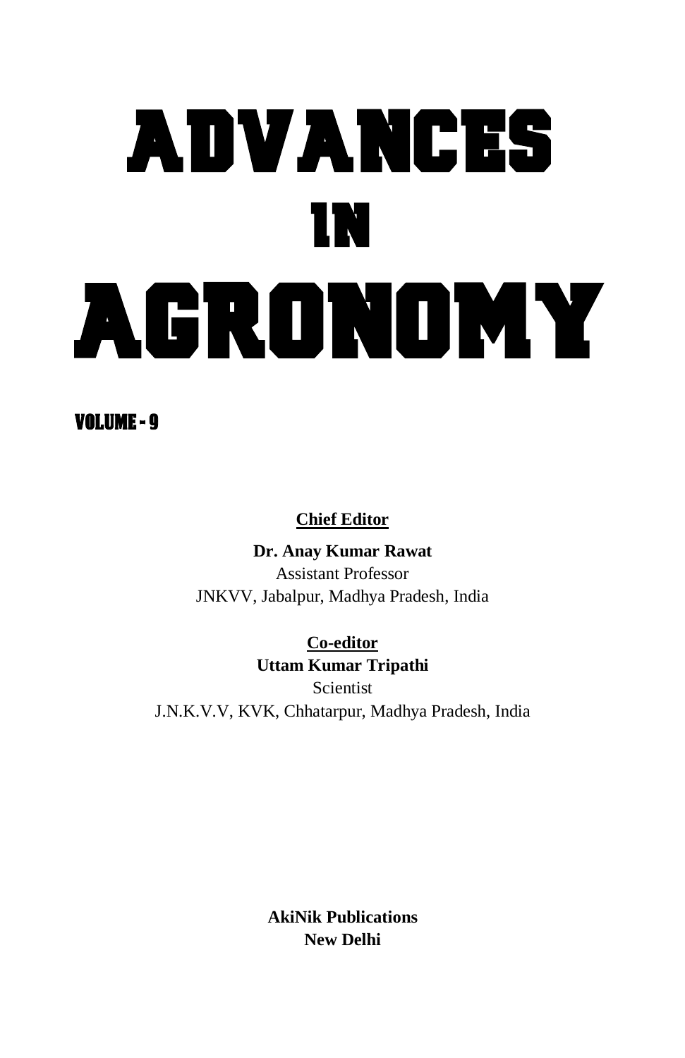# ADVANCES IN AGRONOMY

## VOLUME - 9

## **Chief Editor**

**Dr. Anay Kumar Rawat** Assistant Professor JNKVV, Jabalpur, Madhya Pradesh, India

**Co-editor Uttam Kumar Tripathi Scientist** J.N.K.V.V, KVK, Chhatarpur, Madhya Pradesh, India

> **AkiNik Publications New Delhi**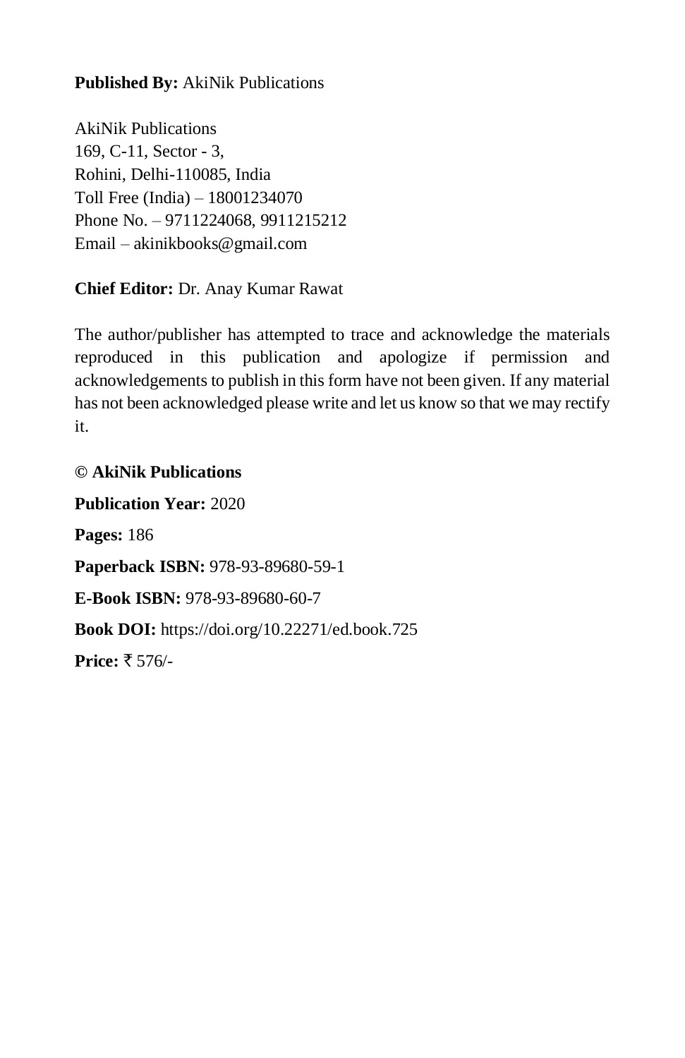**Published By:** AkiNik Publications

AkiNik Publications 169, C-11, Sector - 3, Rohini, Delhi-110085, India Toll Free (India) – 18001234070 Phone No. – 9711224068, 9911215212 Email – akinikbooks@gmail.com

**Chief Editor:** Dr. Anay Kumar Rawat

The author/publisher has attempted to trace and acknowledge the materials reproduced in this publication and apologize if permission and acknowledgements to publish in this form have not been given. If any material has not been acknowledged please write and let us know so that we may rectify it.

## **© AkiNik Publications**

**Publication Year:** 2020 **Pages:** 186 **Paperback ISBN:** 978-93-89680-59-1 **E-Book ISBN:** 978-93-89680-60-7 **Book DOI:** https://doi.org/10.22271/ed.book.725 **Price:** ₹ 576/-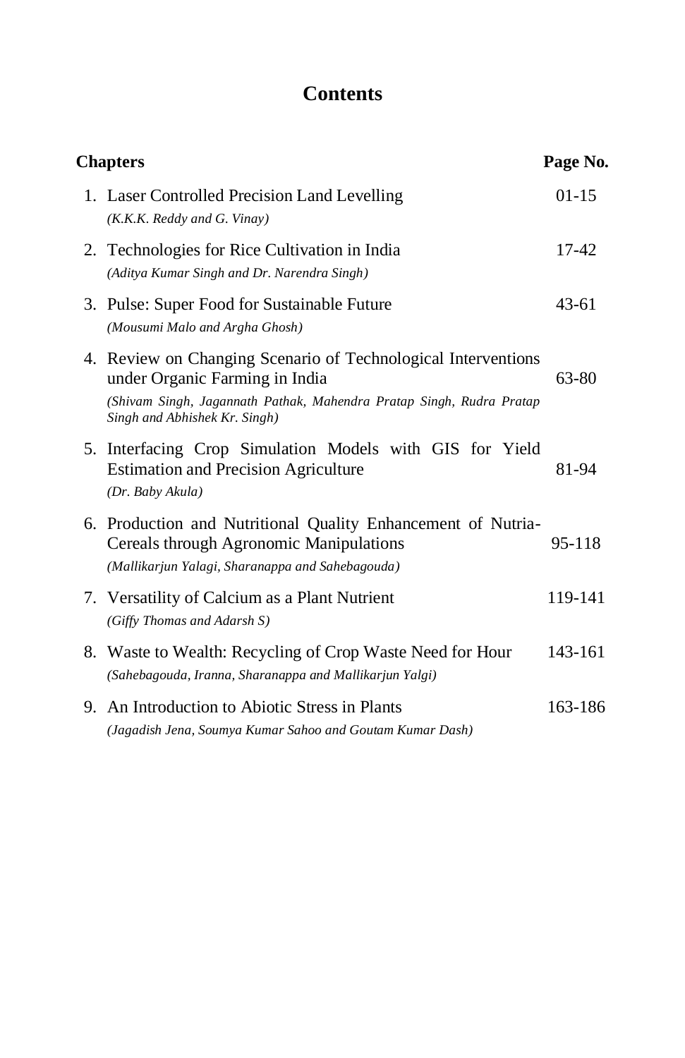## **Contents**

| <b>Chapters</b> |                                                                                                                                                                                                          | Page No.  |  |
|-----------------|----------------------------------------------------------------------------------------------------------------------------------------------------------------------------------------------------------|-----------|--|
|                 | 1. Laser Controlled Precision Land Levelling<br>(K.K.K. Reddy and G. Vinary)                                                                                                                             | $01 - 15$ |  |
|                 | 2. Technologies for Rice Cultivation in India<br>(Aditya Kumar Singh and Dr. Narendra Singh)                                                                                                             | 17-42     |  |
|                 | 3. Pulse: Super Food for Sustainable Future<br>(Mousumi Malo and Argha Ghosh)                                                                                                                            | 43-61     |  |
|                 | 4. Review on Changing Scenario of Technological Interventions<br>under Organic Farming in India<br>(Shivam Singh, Jagannath Pathak, Mahendra Pratap Singh, Rudra Pratap<br>Singh and Abhishek Kr. Singh) | 63-80     |  |
|                 | 5. Interfacing Crop Simulation Models with GIS for Yield<br><b>Estimation and Precision Agriculture</b><br>(Dr. Baby Akula)                                                                              | 81-94     |  |
|                 | 6. Production and Nutritional Quality Enhancement of Nutria-<br>Cereals through Agronomic Manipulations<br>(Mallikarjun Yalagi, Sharanappa and Sahebagouda)                                              | 95-118    |  |
|                 | 7. Versatility of Calcium as a Plant Nutrient<br>(Giffy Thomas and Adarsh S)                                                                                                                             | 119-141   |  |
|                 | 8. Waste to Wealth: Recycling of Crop Waste Need for Hour<br>(Sahebagouda, Iranna, Sharanappa and Mallikarjun Yalgi)                                                                                     | 143-161   |  |
|                 | 9. An Introduction to Abiotic Stress in Plants<br>(Jagadish Jena, Soumya Kumar Sahoo and Goutam Kumar Dash)                                                                                              | 163-186   |  |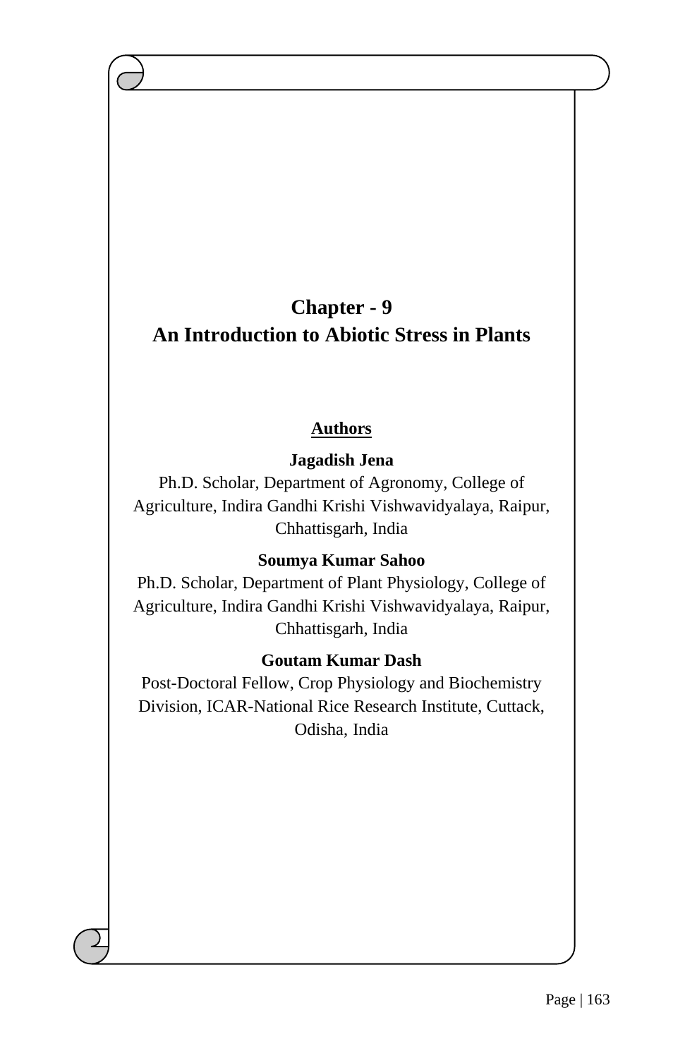## **Chapter - 9 An Introduction to Abiotic Stress in Plants**

## **Authors**

## **Jagadish Jena**

Ph.D. Scholar, Department of Agronomy, College of Agriculture, Indira Gandhi Krishi Vishwavidyalaya, Raipur, Chhattisgarh, India

## **Soumya Kumar Sahoo**

Ph.D. Scholar, Department of Plant Physiology, College of Agriculture, Indira Gandhi Krishi Vishwavidyalaya, Raipur, Chhattisgarh, India

## **Goutam Kumar Dash**

Post-Doctoral Fellow, Crop Physiology and Biochemistry Division, ICAR-National Rice Research Institute, Cuttack, Odisha, India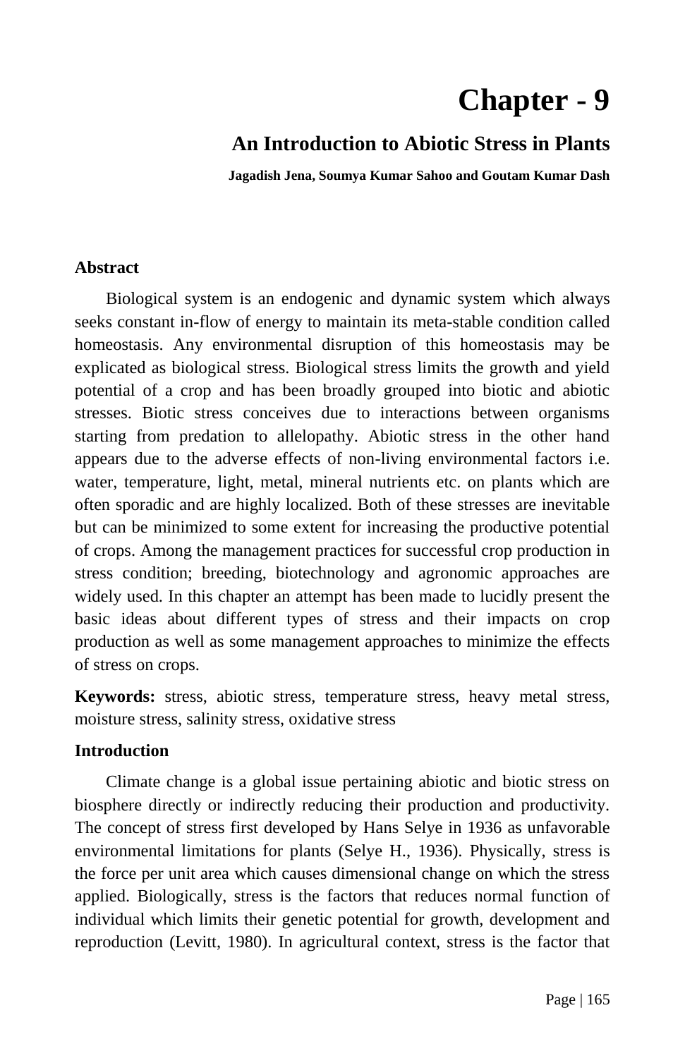# **Chapter - 9**

## **An Introduction to Abiotic Stress in Plants**

**Jagadish Jena, Soumya Kumar Sahoo and Goutam Kumar Dash**

## **Abstract**

Biological system is an endogenic and dynamic system which always seeks constant in-flow of energy to maintain its meta-stable condition called homeostasis. Any environmental disruption of this homeostasis may be explicated as biological stress. Biological stress limits the growth and yield potential of a crop and has been broadly grouped into biotic and abiotic stresses. Biotic stress conceives due to interactions between organisms starting from predation to allelopathy. Abiotic stress in the other hand appears due to the adverse effects of non-living environmental factors i.e. water, temperature, light, metal, mineral nutrients etc. on plants which are often sporadic and are highly localized. Both of these stresses are inevitable but can be minimized to some extent for increasing the productive potential of crops. Among the management practices for successful crop production in stress condition; breeding, biotechnology and agronomic approaches are widely used. In this chapter an attempt has been made to lucidly present the basic ideas about different types of stress and their impacts on crop production as well as some management approaches to minimize the effects of stress on crops.

**Keywords:** stress, abiotic stress, temperature stress, heavy metal stress, moisture stress, salinity stress, oxidative stress

## **Introduction**

Climate change is a global issue pertaining abiotic and biotic stress on biosphere directly or indirectly reducing their production and productivity. The concept of stress first developed by Hans Selye in 1936 as unfavorable environmental limitations for plants (Selye H., 1936). Physically, stress is the force per unit area which causes dimensional change on which the stress applied. Biologically, stress is the factors that reduces normal function of individual which limits their genetic potential for growth, development and reproduction (Levitt, 1980). In agricultural context, stress is the factor that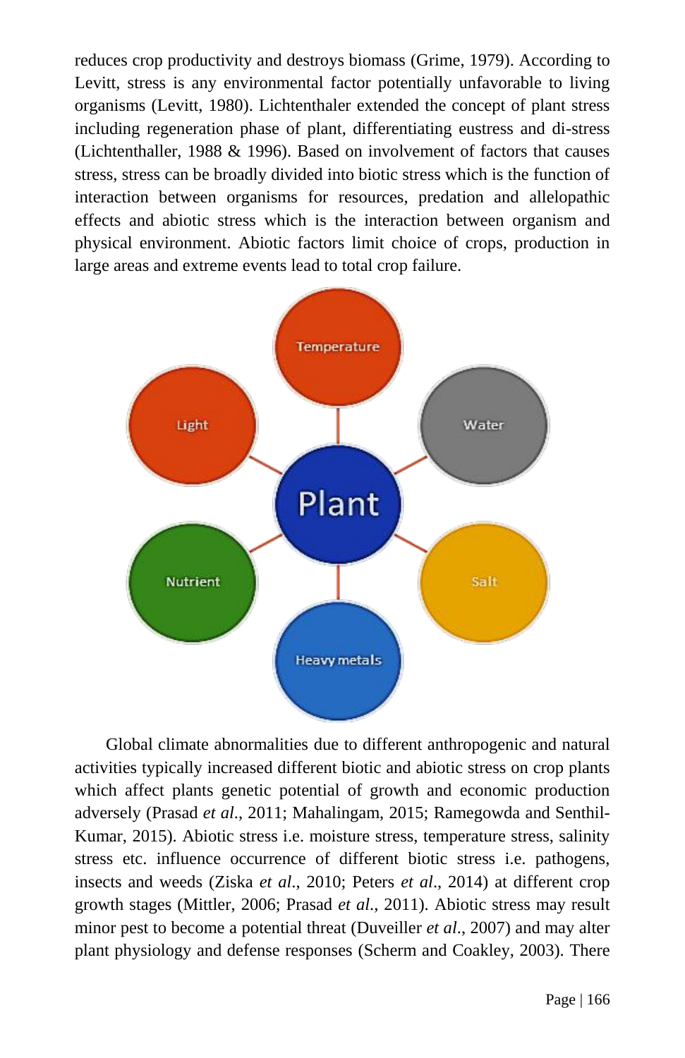reduces crop productivity and destroys biomass (Grime, 1979). According to Levitt, stress is any environmental factor potentially unfavorable to living organisms (Levitt, 1980). Lichtenthaler extended the concept of plant stress including regeneration phase of plant, differentiating eustress and di-stress (Lichtenthaller, 1988 & 1996). Based on involvement of factors that causes stress, stress can be broadly divided into biotic stress which is the function of interaction between organisms for resources, predation and allelopathic effects and abiotic stress which is the interaction between organism and physical environment. Abiotic factors limit choice of crops, production in large areas and extreme events lead to total crop failure.



Global climate abnormalities due to different anthropogenic and natural activities typically increased different biotic and abiotic stress on crop plants which affect plants genetic potential of growth and economic production adversely (Prasad *et al*., 2011; Mahalingam, 2015; Ramegowda and Senthil-Kumar, 2015). Abiotic stress i.e. moisture stress, temperature stress, salinity stress etc. influence occurrence of different biotic stress i.e. pathogens, insects and weeds (Ziska *et al*., 2010; Peters *et al*., 2014) at different crop growth stages (Mittler, 2006; Prasad *et al*., 2011). Abiotic stress may result minor pest to become a potential threat (Duveiller *et al*., 2007) and may alter plant physiology and defense responses (Scherm and Coakley, 2003). There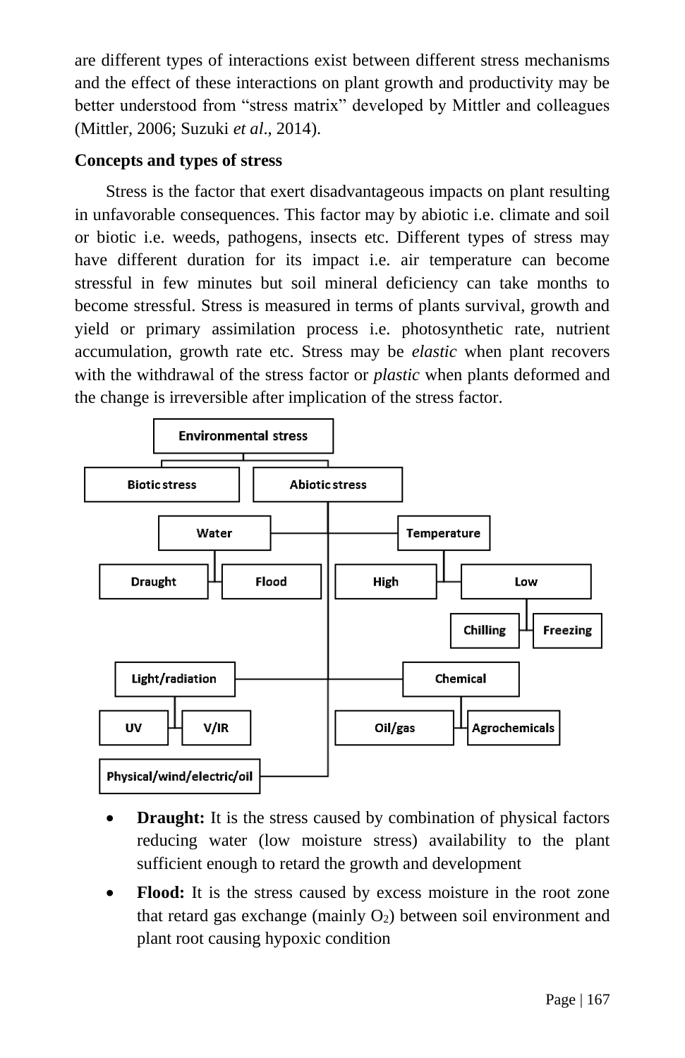are different types of interactions exist between different stress mechanisms and the effect of these interactions on plant growth and productivity may be better understood from "stress matrix" developed by Mittler and colleagues (Mittler, 2006; Suzuki *et al*., 2014).

## **Concepts and types of stress**

Stress is the factor that exert disadvantageous impacts on plant resulting in unfavorable consequences. This factor may by abiotic i.e. climate and soil or biotic i.e. weeds, pathogens, insects etc. Different types of stress may have different duration for its impact i.e. air temperature can become stressful in few minutes but soil mineral deficiency can take months to become stressful. Stress is measured in terms of plants survival, growth and yield or primary assimilation process i.e. photosynthetic rate, nutrient accumulation, growth rate etc. Stress may be *elastic* when plant recovers with the withdrawal of the stress factor or *plastic* when plants deformed and the change is irreversible after implication of the stress factor.



- **Draught:** It is the stress caused by combination of physical factors reducing water (low moisture stress) availability to the plant sufficient enough to retard the growth and development
- **Flood:** It is the stress caused by excess moisture in the root zone that retard gas exchange (mainly  $O_2$ ) between soil environment and plant root causing hypoxic condition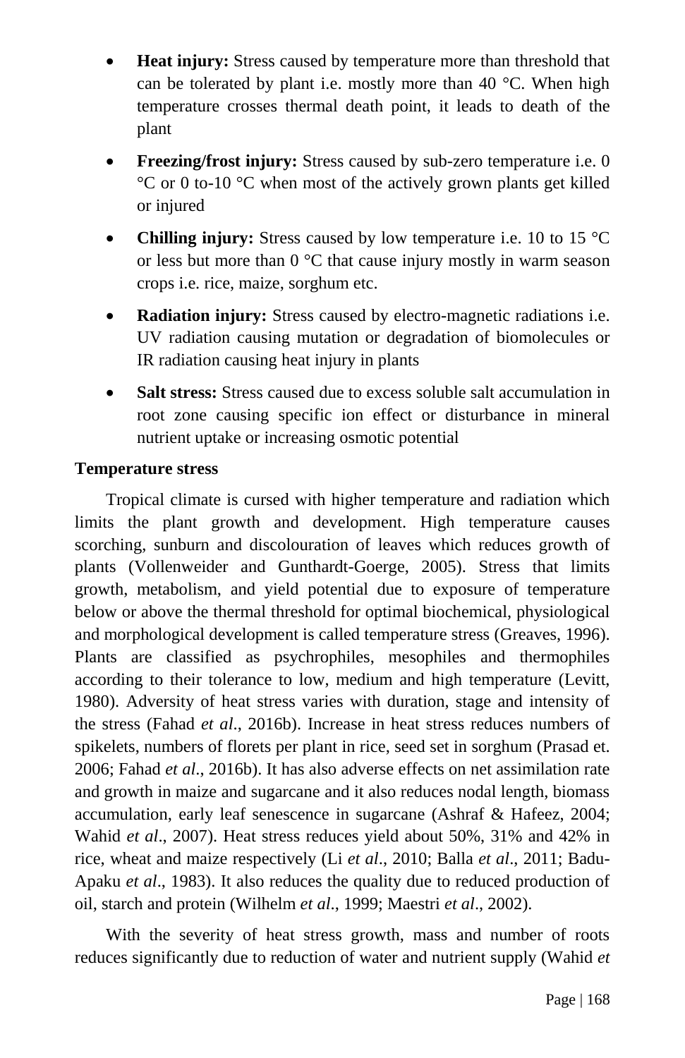- **Heat injury:** Stress caused by temperature more than threshold that can be tolerated by plant i.e. mostly more than 40 °C. When high temperature crosses thermal death point, it leads to death of the plant
- **Freezing/frost injury:** Stress caused by sub-zero temperature i.e. 0 °C or 0 to-10 °C when most of the actively grown plants get killed or injured
- **Chilling injury:** Stress caused by low temperature i.e. 10 to 15 °C or less but more than 0 °C that cause injury mostly in warm season crops i.e. rice, maize, sorghum etc.
- **Radiation injury:** Stress caused by electro-magnetic radiations i.e. UV radiation causing mutation or degradation of biomolecules or IR radiation causing heat injury in plants
- **Salt stress:** Stress caused due to excess soluble salt accumulation in root zone causing specific ion effect or disturbance in mineral nutrient uptake or increasing osmotic potential

#### **Temperature stress**

Tropical climate is cursed with higher temperature and radiation which limits the plant growth and development. High temperature causes scorching, sunburn and discolouration of leaves which reduces growth of plants (Vollenweider and Gunthardt-Goerge, 2005). Stress that limits growth, metabolism, and yield potential due to exposure of temperature below or above the thermal threshold for optimal biochemical, physiological and morphological development is called temperature stress (Greaves, 1996). Plants are classified as psychrophiles, mesophiles and thermophiles according to their tolerance to low, medium and high temperature (Levitt, 1980). Adversity of heat stress varies with duration, stage and intensity of the stress (Fahad *et al*., 2016b). Increase in heat stress reduces numbers of spikelets, numbers of florets per plant in rice, seed set in sorghum (Prasad et. 2006; Fahad *et al*., 2016b). It has also adverse effects on net assimilation rate and growth in maize and sugarcane and it also reduces nodal length, biomass accumulation, early leaf senescence in sugarcane (Ashraf & Hafeez, 2004; Wahid *et al*., 2007). Heat stress reduces yield about 50%, 31% and 42% in rice, wheat and maize respectively (Li *et al*., 2010; Balla *et al*., 2011; Badu-Apaku *et al*., 1983). It also reduces the quality due to reduced production of oil, starch and protein (Wilhelm *et al*., 1999; Maestri *et al*., 2002).

With the severity of heat stress growth, mass and number of roots reduces significantly due to reduction of water and nutrient supply (Wahid *et*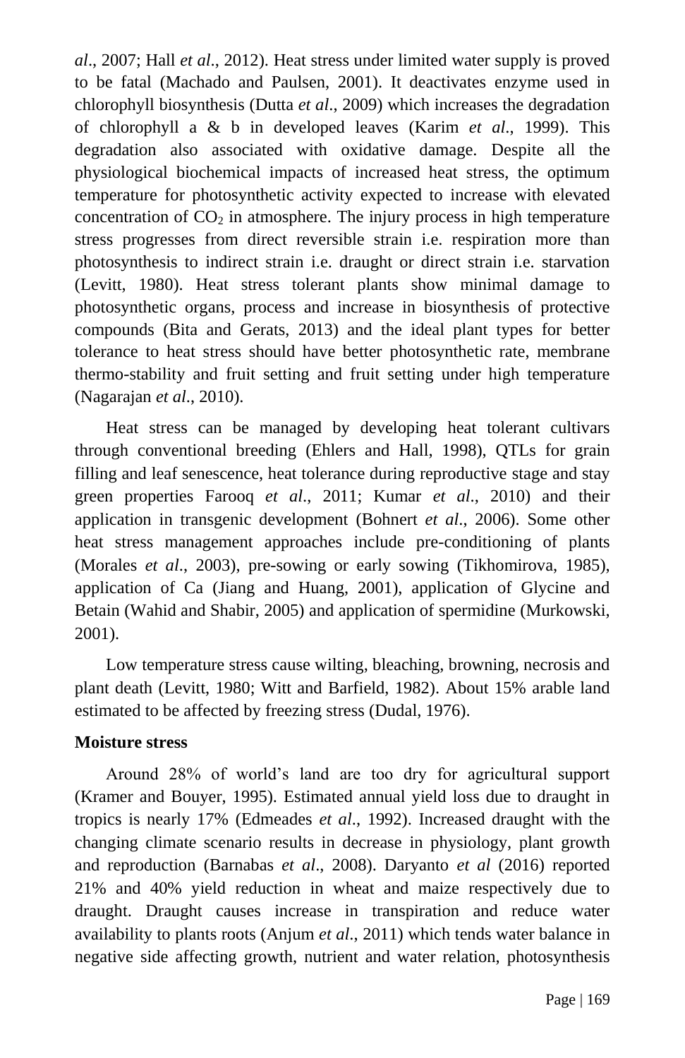*al*., 2007; Hall *et al*., 2012). Heat stress under limited water supply is proved to be fatal (Machado and Paulsen, 2001). It deactivates enzyme used in chlorophyll biosynthesis (Dutta *et al*., 2009) which increases the degradation of chlorophyll a & b in developed leaves (Karim *et al*., 1999). This degradation also associated with oxidative damage. Despite all the physiological biochemical impacts of increased heat stress, the optimum temperature for photosynthetic activity expected to increase with elevated concentration of  $CO<sub>2</sub>$  in atmosphere. The injury process in high temperature stress progresses from direct reversible strain i.e. respiration more than photosynthesis to indirect strain i.e. draught or direct strain i.e. starvation (Levitt, 1980). Heat stress tolerant plants show minimal damage to photosynthetic organs, process and increase in biosynthesis of protective compounds (Bita and Gerats, 2013) and the ideal plant types for better tolerance to heat stress should have better photosynthetic rate, membrane thermo-stability and fruit setting and fruit setting under high temperature (Nagarajan *et al*., 2010).

Heat stress can be managed by developing heat tolerant cultivars through conventional breeding (Ehlers and Hall, 1998), QTLs for grain filling and leaf senescence, heat tolerance during reproductive stage and stay green properties Farooq *et al*., 2011; Kumar *et al*., 2010) and their application in transgenic development (Bohnert *et al*., 2006). Some other heat stress management approaches include pre-conditioning of plants (Morales *et al*., 2003), pre-sowing or early sowing (Tikhomirova, 1985), application of Ca (Jiang and Huang, 2001), application of Glycine and Betain (Wahid and Shabir, 2005) and application of spermidine (Murkowski, 2001).

Low temperature stress cause wilting, bleaching, browning, necrosis and plant death (Levitt, 1980; Witt and Barfield, 1982). About 15% arable land estimated to be affected by freezing stress (Dudal, 1976).

#### **Moisture stress**

Around 28% of world's land are too dry for agricultural support (Kramer and Bouyer, 1995). Estimated annual yield loss due to draught in tropics is nearly 17% (Edmeades *et al*., 1992). Increased draught with the changing climate scenario results in decrease in physiology, plant growth and reproduction (Barnabas *et al*., 2008). Daryanto *et al* (2016) reported 21% and 40% yield reduction in wheat and maize respectively due to draught. Draught causes increase in transpiration and reduce water availability to plants roots (Anjum *et al*., 2011) which tends water balance in negative side affecting growth, nutrient and water relation, photosynthesis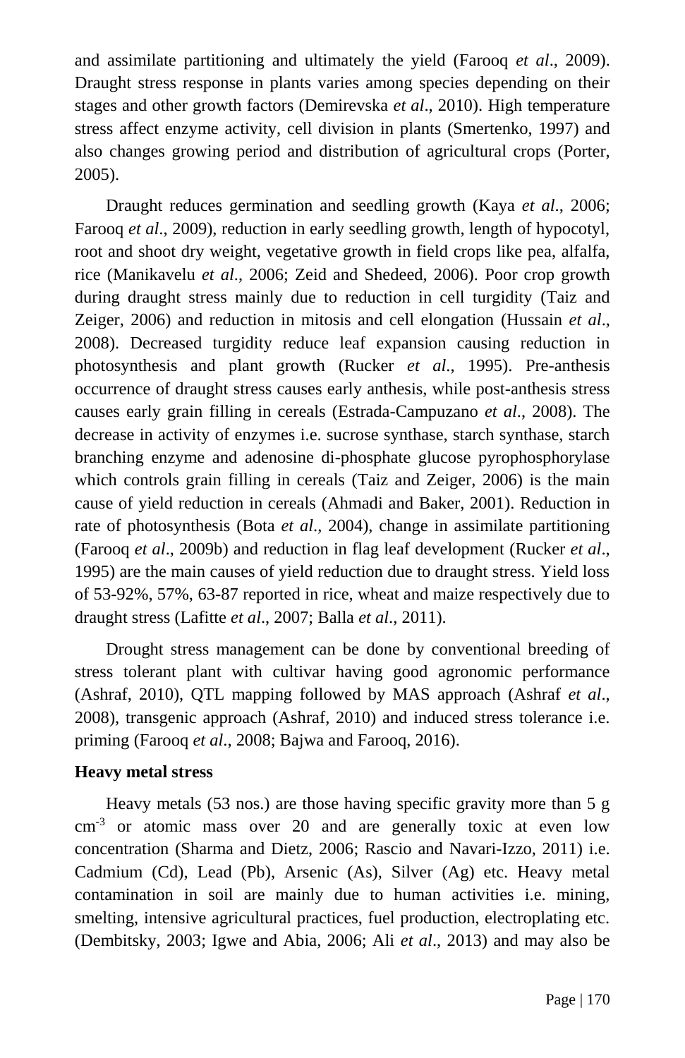and assimilate partitioning and ultimately the yield (Farooq *et al*., 2009). Draught stress response in plants varies among species depending on their stages and other growth factors (Demirevska *et al*., 2010). High temperature stress affect enzyme activity, cell division in plants (Smertenko, 1997) and also changes growing period and distribution of agricultural crops (Porter, 2005).

Draught reduces germination and seedling growth (Kaya *et al*., 2006; Farooq *et al*., 2009), reduction in early seedling growth, length of hypocotyl, root and shoot dry weight, vegetative growth in field crops like pea, alfalfa, rice (Manikavelu *et al*., 2006; Zeid and Shedeed, 2006). Poor crop growth during draught stress mainly due to reduction in cell turgidity (Taiz and Zeiger, 2006) and reduction in mitosis and cell elongation (Hussain *et al*., 2008). Decreased turgidity reduce leaf expansion causing reduction in photosynthesis and plant growth (Rucker *et al*., 1995). Pre-anthesis occurrence of draught stress causes early anthesis, while post-anthesis stress causes early grain filling in cereals (Estrada-Campuzano *et al*., 2008). The decrease in activity of enzymes i.e. sucrose synthase, starch synthase, starch branching enzyme and adenosine di-phosphate glucose pyrophosphorylase which controls grain filling in cereals (Taiz and Zeiger, 2006) is the main cause of yield reduction in cereals (Ahmadi and Baker, 2001). Reduction in rate of photosynthesis (Bota *et al*., 2004), change in assimilate partitioning (Farooq *et al*., 2009b) and reduction in flag leaf development (Rucker *et al*., 1995) are the main causes of yield reduction due to draught stress. Yield loss of 53-92%, 57%, 63-87 reported in rice, wheat and maize respectively due to draught stress (Lafitte *et al*., 2007; Balla *et al*., 2011).

Drought stress management can be done by conventional breeding of stress tolerant plant with cultivar having good agronomic performance (Ashraf, 2010), QTL mapping followed by MAS approach (Ashraf *et al*., 2008), transgenic approach (Ashraf, 2010) and induced stress tolerance i.e. priming (Farooq *et al*., 2008; Bajwa and Farooq, 2016).

#### **Heavy metal stress**

Heavy metals (53 nos.) are those having specific gravity more than 5 g cm-3 or atomic mass over 20 and are generally toxic at even low concentration (Sharma and Dietz, 2006; Rascio and Navari-Izzo, 2011) i.e. Cadmium (Cd), Lead (Pb), Arsenic (As), Silver (Ag) etc. Heavy metal contamination in soil are mainly due to human activities i.e. mining, smelting, intensive agricultural practices, fuel production, electroplating etc. (Dembitsky, 2003; Igwe and Abia, 2006; Ali *et al*., 2013) and may also be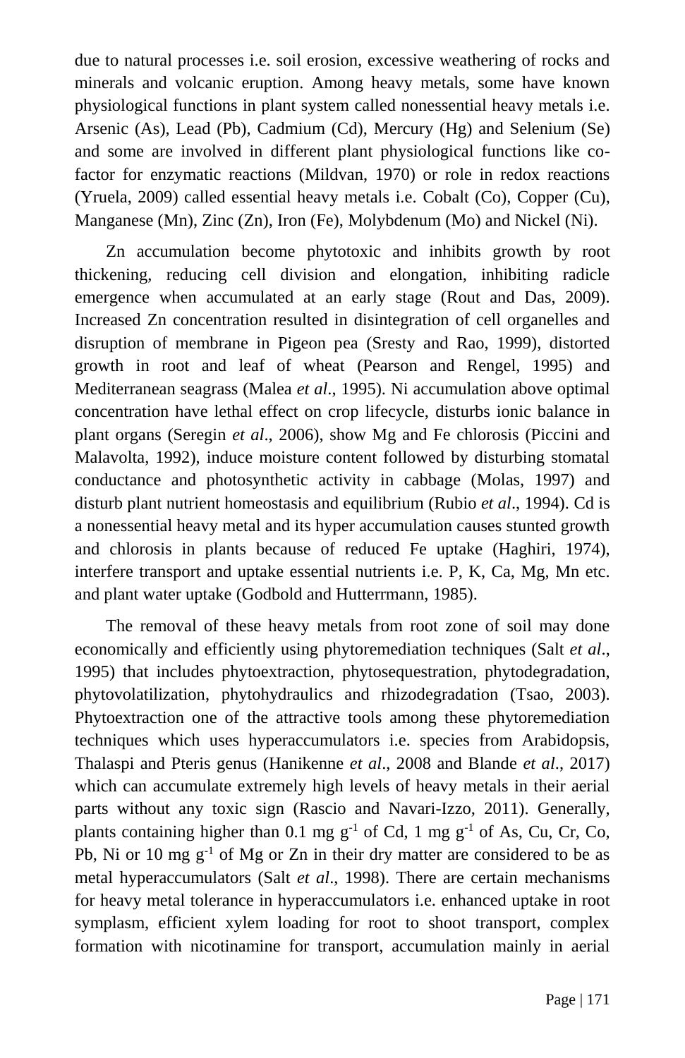due to natural processes i.e. soil erosion, excessive weathering of rocks and minerals and volcanic eruption. Among heavy metals, some have known physiological functions in plant system called nonessential heavy metals i.e. Arsenic (As), Lead (Pb), Cadmium (Cd), Mercury (Hg) and Selenium (Se) and some are involved in different plant physiological functions like cofactor for enzymatic reactions (Mildvan, 1970) or role in redox reactions (Yruela, 2009) called essential heavy metals i.e. Cobalt (Co), Copper (Cu), Manganese (Mn), Zinc (Zn), Iron (Fe), Molybdenum (Mo) and Nickel (Ni).

Zn accumulation become phytotoxic and inhibits growth by root thickening, reducing cell division and elongation, inhibiting radicle emergence when accumulated at an early stage (Rout and Das, 2009). Increased Zn concentration resulted in disintegration of cell organelles and disruption of membrane in Pigeon pea (Sresty and Rao, 1999), distorted growth in root and leaf of wheat (Pearson and Rengel, 1995) and Mediterranean seagrass (Malea *et al*., 1995). Ni accumulation above optimal concentration have lethal effect on crop lifecycle, disturbs ionic balance in plant organs (Seregin *et al*., 2006), show Mg and Fe chlorosis (Piccini and Malavolta, 1992), induce moisture content followed by disturbing stomatal conductance and photosynthetic activity in cabbage (Molas, 1997) and disturb plant nutrient homeostasis and equilibrium (Rubio *et al*., 1994). Cd is a nonessential heavy metal and its hyper accumulation causes stunted growth and chlorosis in plants because of reduced Fe uptake (Haghiri, 1974), interfere transport and uptake essential nutrients i.e. P, K, Ca, Mg, Mn etc. and plant water uptake (Godbold and Hutterrmann, 1985).

The removal of these heavy metals from root zone of soil may done economically and efficiently using phytoremediation techniques (Salt *et al*., 1995) that includes phytoextraction, phytosequestration, phytodegradation, phytovolatilization, phytohydraulics and rhizodegradation (Tsao, 2003). Phytoextraction one of the attractive tools among these phytoremediation techniques which uses hyperaccumulators i.e. species from Arabidopsis, Thalaspi and Pteris genus (Hanikenne *et al*., 2008 and Blande *et al*., 2017) which can accumulate extremely high levels of heavy metals in their aerial parts without any toxic sign (Rascio and Navari-Izzo, 2011). Generally, plants containing higher than 0.1 mg  $g^{-1}$  of Cd, 1 mg  $g^{-1}$  of As, Cu, Cr, Co, Pb, Ni or 10 mg  $g^{-1}$  of Mg or Zn in their dry matter are considered to be as metal hyperaccumulators (Salt *et al*., 1998). There are certain mechanisms for heavy metal tolerance in hyperaccumulators i.e. enhanced uptake in root symplasm, efficient xylem loading for root to shoot transport, complex formation with nicotinamine for transport, accumulation mainly in aerial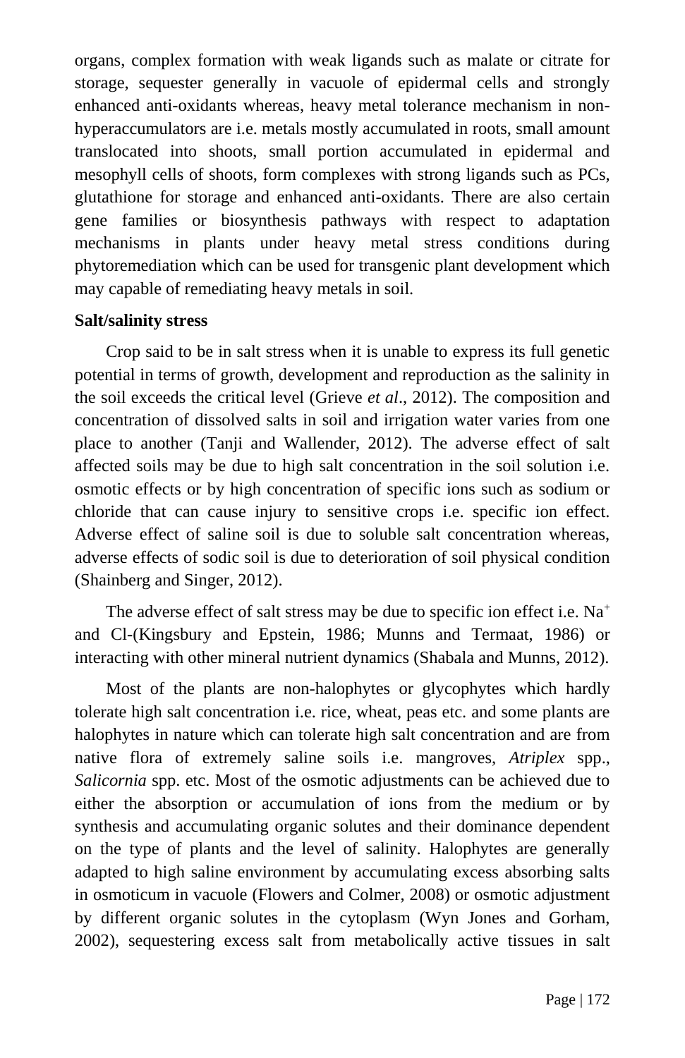organs, complex formation with weak ligands such as malate or citrate for storage, sequester generally in vacuole of epidermal cells and strongly enhanced anti-oxidants whereas, heavy metal tolerance mechanism in nonhyperaccumulators are i.e. metals mostly accumulated in roots, small amount translocated into shoots, small portion accumulated in epidermal and mesophyll cells of shoots, form complexes with strong ligands such as PCs, glutathione for storage and enhanced anti-oxidants. There are also certain gene families or biosynthesis pathways with respect to adaptation mechanisms in plants under heavy metal stress conditions during phytoremediation which can be used for transgenic plant development which may capable of remediating heavy metals in soil.

## **Salt/salinity stress**

Crop said to be in salt stress when it is unable to express its full genetic potential in terms of growth, development and reproduction as the salinity in the soil exceeds the critical level (Grieve *et al*., 2012). The composition and concentration of dissolved salts in soil and irrigation water varies from one place to another (Tanji and Wallender, 2012). The adverse effect of salt affected soils may be due to high salt concentration in the soil solution i.e. osmotic effects or by high concentration of specific ions such as sodium or chloride that can cause injury to sensitive crops i.e. specific ion effect. Adverse effect of saline soil is due to soluble salt concentration whereas, adverse effects of sodic soil is due to deterioration of soil physical condition (Shainberg and Singer, 2012).

The adverse effect of salt stress may be due to specific ion effect i.e. Na<sup>+</sup> and Cl-(Kingsbury and Epstein, 1986; Munns and Termaat, 1986) or interacting with other mineral nutrient dynamics (Shabala and Munns, 2012).

Most of the plants are non-halophytes or glycophytes which hardly tolerate high salt concentration i.e. rice, wheat, peas etc. and some plants are halophytes in nature which can tolerate high salt concentration and are from native flora of extremely saline soils i.e. mangroves, *Atriplex* spp., *Salicornia* spp. etc. Most of the osmotic adjustments can be achieved due to either the absorption or accumulation of ions from the medium or by synthesis and accumulating organic solutes and their dominance dependent on the type of plants and the level of salinity. Halophytes are generally adapted to high saline environment by accumulating excess absorbing salts in osmoticum in vacuole (Flowers and Colmer, 2008) or osmotic adjustment by different organic solutes in the cytoplasm (Wyn Jones and Gorham, 2002), sequestering excess salt from metabolically active tissues in salt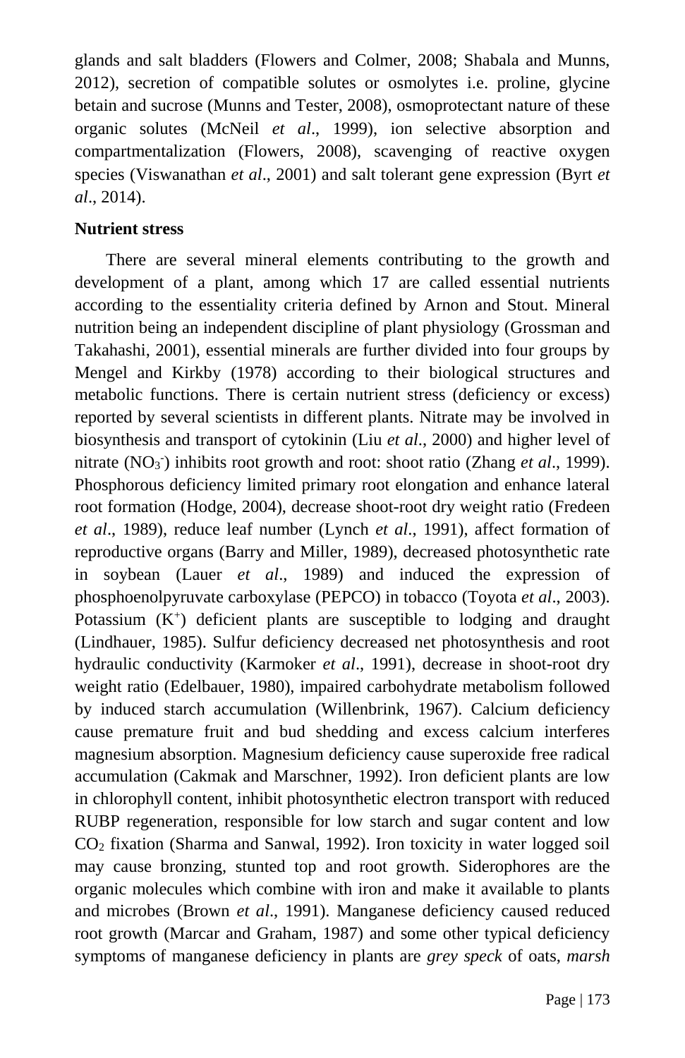glands and salt bladders (Flowers and Colmer, 2008; Shabala and Munns, 2012), secretion of compatible solutes or osmolytes i.e. proline, glycine betain and sucrose (Munns and Tester, 2008), osmoprotectant nature of these organic solutes (McNeil *et al*., 1999), ion selective absorption and compartmentalization (Flowers, 2008), scavenging of reactive oxygen species (Viswanathan *et al*., 2001) and salt tolerant gene expression (Byrt *et al*., 2014).

## **Nutrient stress**

There are several mineral elements contributing to the growth and development of a plant, among which 17 are called essential nutrients according to the essentiality criteria defined by Arnon and Stout. Mineral nutrition being an independent discipline of plant physiology (Grossman and Takahashi, 2001), essential minerals are further divided into four groups by Mengel and Kirkby (1978) according to their biological structures and metabolic functions. There is certain nutrient stress (deficiency or excess) reported by several scientists in different plants. Nitrate may be involved in biosynthesis and transport of cytokinin (Liu *et al*., 2000) and higher level of nitrate (NO<sub>3</sub><sup>-</sup>) inhibits root growth and root: shoot ratio (Zhang *et al.*, 1999). Phosphorous deficiency limited primary root elongation and enhance lateral root formation (Hodge, 2004), decrease shoot-root dry weight ratio (Fredeen *et al*., 1989), reduce leaf number (Lynch *et al*., 1991), affect formation of reproductive organs (Barry and Miller, 1989), decreased photosynthetic rate in soybean (Lauer *et al*., 1989) and induced the expression of phosphoenolpyruvate carboxylase (PEPCO) in tobacco (Toyota *et al*., 2003). Potassium  $(K^+)$  deficient plants are susceptible to lodging and draught (Lindhauer, 1985). Sulfur deficiency decreased net photosynthesis and root hydraulic conductivity (Karmoker *et al*., 1991), decrease in shoot-root dry weight ratio (Edelbauer, 1980), impaired carbohydrate metabolism followed by induced starch accumulation (Willenbrink, 1967). Calcium deficiency cause premature fruit and bud shedding and excess calcium interferes magnesium absorption. Magnesium deficiency cause superoxide free radical accumulation (Cakmak and Marschner, 1992). Iron deficient plants are low in chlorophyll content, inhibit photosynthetic electron transport with reduced RUBP regeneration, responsible for low starch and sugar content and low  $CO<sub>2</sub>$  fixation (Sharma and Sanwal, 1992). Iron toxicity in water logged soil may cause bronzing, stunted top and root growth. Siderophores are the organic molecules which combine with iron and make it available to plants and microbes (Brown *et al*., 1991). Manganese deficiency caused reduced root growth (Marcar and Graham, 1987) and some other typical deficiency symptoms of manganese deficiency in plants are *grey speck* of oats, *marsh*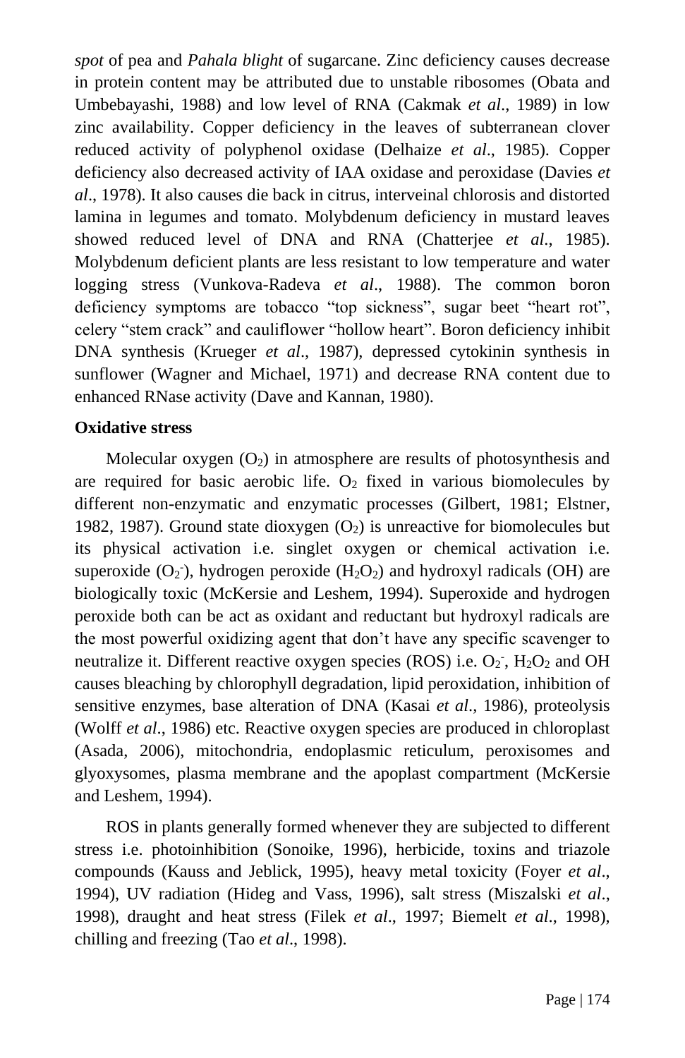*spot* of pea and *Pahala blight* of sugarcane. Zinc deficiency causes decrease in protein content may be attributed due to unstable ribosomes (Obata and Umbebayashi, 1988) and low level of RNA (Cakmak *et al*., 1989) in low zinc availability. Copper deficiency in the leaves of subterranean clover reduced activity of polyphenol oxidase (Delhaize *et al*., 1985). Copper deficiency also decreased activity of IAA oxidase and peroxidase (Davies *et al*., 1978). It also causes die back in citrus, interveinal chlorosis and distorted lamina in legumes and tomato. Molybdenum deficiency in mustard leaves showed reduced level of DNA and RNA (Chatterjee *et al*., 1985). Molybdenum deficient plants are less resistant to low temperature and water logging stress (Vunkova-Radeva *et al*., 1988). The common boron deficiency symptoms are tobacco "top sickness", sugar beet "heart rot", celery "stem crack" and cauliflower "hollow heart". Boron deficiency inhibit DNA synthesis (Krueger *et al*., 1987), depressed cytokinin synthesis in sunflower (Wagner and Michael, 1971) and decrease RNA content due to enhanced RNase activity (Dave and Kannan, 1980).

#### **Oxidative stress**

Molecular oxygen  $(O_2)$  in atmosphere are results of photosynthesis and are required for basic aerobic life.  $O_2$  fixed in various biomolecules by different non-enzymatic and enzymatic processes (Gilbert, 1981; Elstner, 1982, 1987). Ground state dioxygen  $(O_2)$  is unreactive for biomolecules but its physical activation i.e. singlet oxygen or chemical activation i.e. superoxide  $(O_2)$ , hydrogen peroxide  $(H_2O_2)$  and hydroxyl radicals  $(OH)$  are biologically toxic (McKersie and Leshem, 1994). Superoxide and hydrogen peroxide both can be act as oxidant and reductant but hydroxyl radicals are the most powerful oxidizing agent that don't have any specific scavenger to neutralize it. Different reactive oxygen species (ROS) i.e.  $O_2$ ,  $H_2O_2$  and OH causes bleaching by chlorophyll degradation, lipid peroxidation, inhibition of sensitive enzymes, base alteration of DNA (Kasai *et al*., 1986), proteolysis (Wolff *et al*., 1986) etc. Reactive oxygen species are produced in chloroplast (Asada, 2006), mitochondria, endoplasmic reticulum, peroxisomes and glyoxysomes, plasma membrane and the apoplast compartment (McKersie and Leshem, 1994).

ROS in plants generally formed whenever they are subjected to different stress i.e. photoinhibition (Sonoike, 1996), herbicide, toxins and triazole compounds (Kauss and Jeblick, 1995), heavy metal toxicity (Foyer *et al*., 1994), UV radiation (Hideg and Vass, 1996), salt stress (Miszalski *et al*., 1998), draught and heat stress (Filek *et al*., 1997; Biemelt *et al*., 1998), chilling and freezing (Tao *et al*., 1998).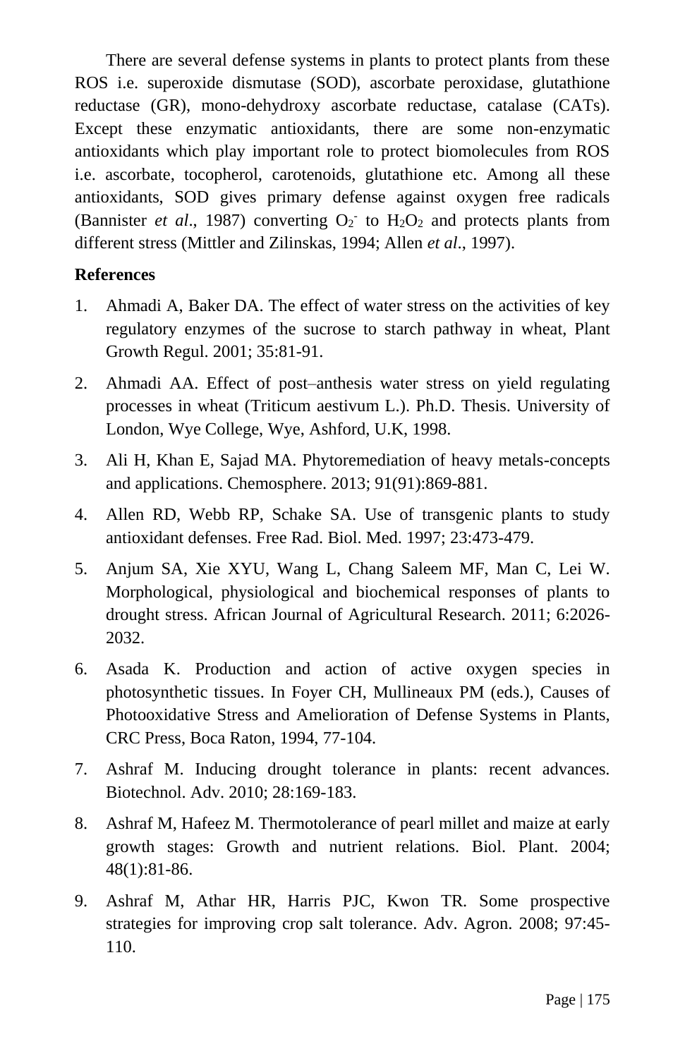There are several defense systems in plants to protect plants from these ROS i.e. superoxide dismutase (SOD), ascorbate peroxidase, glutathione reductase (GR), mono-dehydroxy ascorbate reductase, catalase (CATs). Except these enzymatic antioxidants, there are some non-enzymatic antioxidants which play important role to protect biomolecules from ROS i.e. ascorbate, tocopherol, carotenoids, glutathione etc. Among all these antioxidants, SOD gives primary defense against oxygen free radicals (Bannister *et al.*, 1987) converting  $O_2$  to  $H_2O_2$  and protects plants from different stress (Mittler and Zilinskas, 1994; Allen *et al*., 1997).

## **References**

- 1. Ahmadi A, Baker DA. The effect of water stress on the activities of key regulatory enzymes of the sucrose to starch pathway in wheat, Plant Growth Regul. 2001; 35:81-91.
- 2. Ahmadi AA. Effect of post–anthesis water stress on yield regulating processes in wheat (Triticum aestivum L.). Ph.D. Thesis. University of London, Wye College, Wye, Ashford, U.K, 1998.
- 3. Ali H, Khan E, Sajad MA. Phytoremediation of heavy metals-concepts and applications. Chemosphere. 2013; 91(91):869-881.
- 4. Allen RD, Webb RP, Schake SA. Use of transgenic plants to study antioxidant defenses. Free Rad. Biol. Med. 1997; 23:473-479.
- 5. Anjum SA, Xie XYU, Wang L, Chang Saleem MF, Man C, Lei W. Morphological, physiological and biochemical responses of plants to drought stress. African Journal of Agricultural Research. 2011; 6:2026- 2032.
- 6. Asada K. Production and action of active oxygen species in photosynthetic tissues. In Foyer CH, Mullineaux PM (eds.), Causes of Photooxidative Stress and Amelioration of Defense Systems in Plants, CRC Press, Boca Raton, 1994, 77-104.
- 7. Ashraf M. Inducing drought tolerance in plants: recent advances. Biotechnol. Adv. 2010; 28:169-183.
- 8. Ashraf M, Hafeez M. Thermotolerance of pearl millet and maize at early growth stages: Growth and nutrient relations. Biol. Plant. 2004; 48(1):81-86.
- 9. Ashraf M, Athar HR, Harris PJC, Kwon TR. Some prospective strategies for improving crop salt tolerance. Adv. Agron. 2008; 97:45- 110.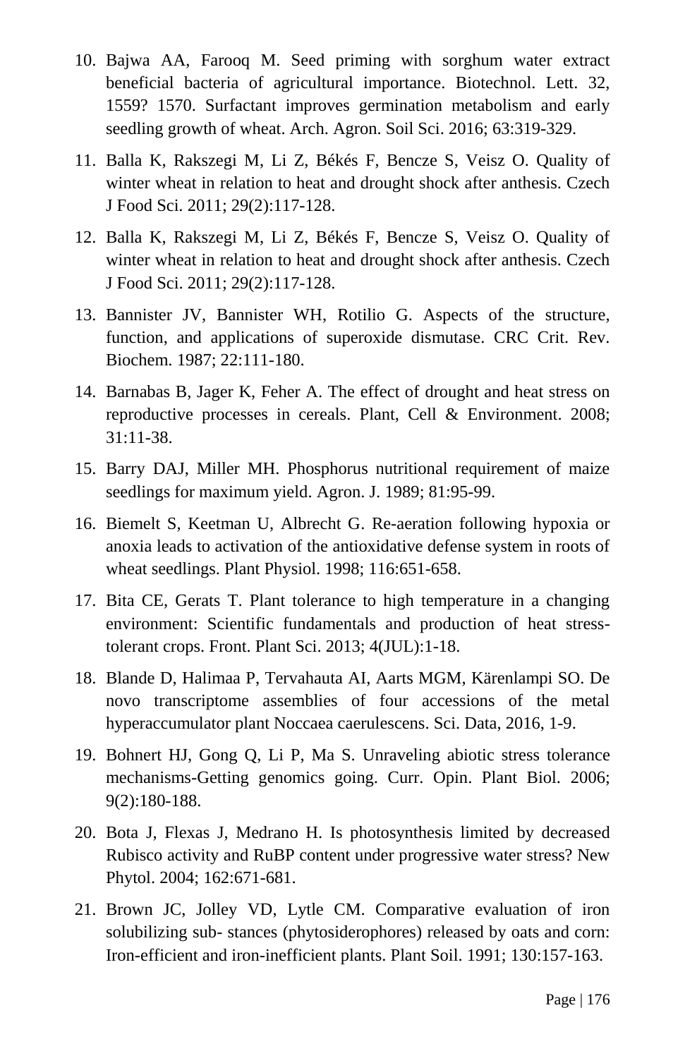- 10. Bajwa AA, Farooq M. Seed priming with sorghum water extract beneficial bacteria of agricultural importance. Biotechnol. Lett. 32, 1559? 1570. Surfactant improves germination metabolism and early seedling growth of wheat. Arch. Agron. Soil Sci. 2016; 63:319-329.
- 11. Balla K, Rakszegi M, Li Z, Békés F, Bencze S, Veisz O. Quality of winter wheat in relation to heat and drought shock after anthesis. Czech J Food Sci. 2011; 29(2):117-128.
- 12. Balla K, Rakszegi M, Li Z, Békés F, Bencze S, Veisz O. Quality of winter wheat in relation to heat and drought shock after anthesis. Czech J Food Sci. 2011; 29(2):117-128.
- 13. Bannister JV, Bannister WH, Rotilio G. Aspects of the structure, function, and applications of superoxide dismutase. CRC Crit. Rev. Biochem. 1987; 22:111-180.
- 14. Barnabas B, Jager K, Feher A. The effect of drought and heat stress on reproductive processes in cereals. Plant, Cell & Environment. 2008; 31:11-38.
- 15. Barry DAJ, Miller MH. Phosphorus nutritional requirement of maize seedlings for maximum yield. Agron. J. 1989; 81:95-99.
- 16. Biemelt S, Keetman U, Albrecht G. Re-aeration following hypoxia or anoxia leads to activation of the antioxidative defense system in roots of wheat seedlings. Plant Physiol. 1998; 116:651-658.
- 17. Bita CE, Gerats T. Plant tolerance to high temperature in a changing environment: Scientific fundamentals and production of heat stresstolerant crops. Front. Plant Sci. 2013; 4(JUL):1-18.
- 18. Blande D, Halimaa P, Tervahauta AI, Aarts MGM, Kärenlampi SO. De novo transcriptome assemblies of four accessions of the metal hyperaccumulator plant Noccaea caerulescens. Sci. Data, 2016, 1-9.
- 19. Bohnert HJ, Gong Q, Li P, Ma S. Unraveling abiotic stress tolerance mechanisms-Getting genomics going. Curr. Opin. Plant Biol. 2006; 9(2):180-188.
- 20. Bota J, Flexas J, Medrano H. Is photosynthesis limited by decreased Rubisco activity and RuBP content under progressive water stress? New Phytol. 2004; 162:671-681.
- 21. Brown JC, Jolley VD, Lytle CM. Comparative evaluation of iron solubilizing sub- stances (phytosiderophores) released by oats and corn: Iron-efficient and iron-inefficient plants. Plant Soil. 1991; 130:157-163.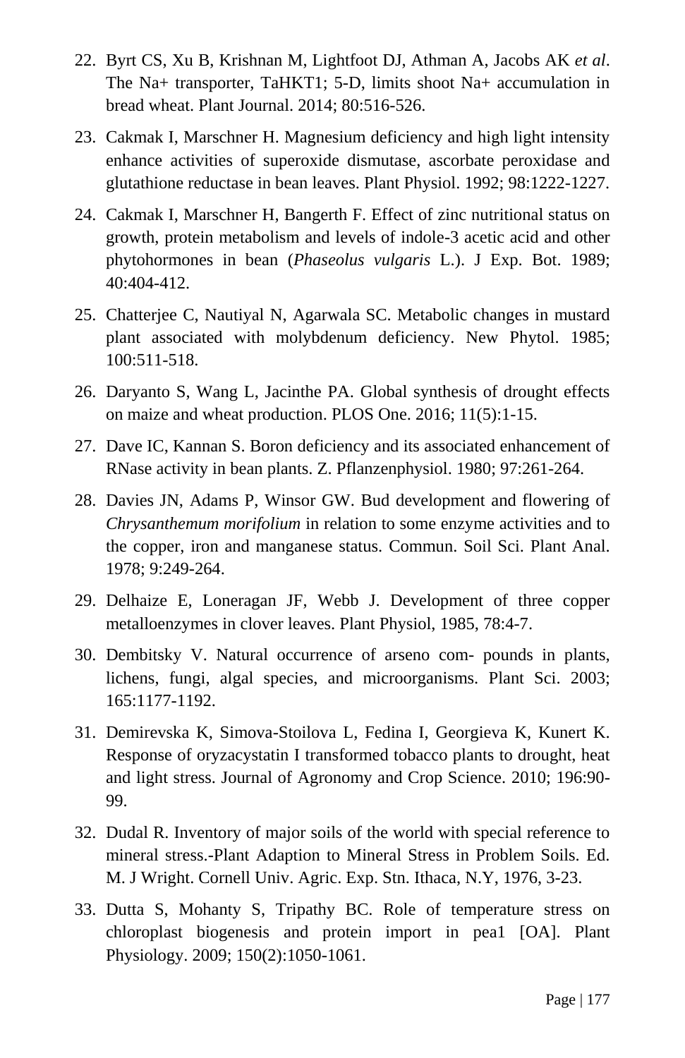- 22. Byrt CS, Xu B, Krishnan M, Lightfoot DJ, Athman A, Jacobs AK *et al*. The Na+ transporter, TaHKT1; 5-D, limits shoot Na+ accumulation in bread wheat. Plant Journal. 2014; 80:516-526.
- 23. Cakmak I, Marschner H. Magnesium deficiency and high light intensity enhance activities of superoxide dismutase, ascorbate peroxidase and glutathione reductase in bean leaves. Plant Physiol. 1992; 98:1222-1227.
- 24. Cakmak I, Marschner H, Bangerth F. Effect of zinc nutritional status on growth, protein metabolism and levels of indole-3 acetic acid and other phytohormones in bean (*Phaseolus vulgaris* L.). J Exp. Bot. 1989; 40:404-412.
- 25. Chatterjee C, Nautiyal N, Agarwala SC. Metabolic changes in mustard plant associated with molybdenum deficiency. New Phytol. 1985; 100:511-518.
- 26. Daryanto S, Wang L, Jacinthe PA. Global synthesis of drought effects on maize and wheat production. PLOS One. 2016; 11(5):1-15.
- 27. Dave IC, Kannan S. Boron deficiency and its associated enhancement of RNase activity in bean plants. Z. Pflanzenphysiol. 1980; 97:261-264.
- 28. Davies JN, Adams P, Winsor GW. Bud development and flowering of *Chrysanthemum morifolium* in relation to some enzyme activities and to the copper, iron and manganese status. Commun. Soil Sci. Plant Anal. 1978; 9:249-264.
- 29. Delhaize E, Loneragan JF, Webb J. Development of three copper metalloenzymes in clover leaves. Plant Physiol, 1985, 78:4-7.
- 30. Dembitsky V. Natural occurrence of arseno com- pounds in plants, lichens, fungi, algal species, and microorganisms. Plant Sci. 2003; 165:1177-1192.
- 31. Demirevska K, Simova-Stoilova L, Fedina I, Georgieva K, Kunert K. Response of oryzacystatin I transformed tobacco plants to drought, heat and light stress. Journal of Agronomy and Crop Science. 2010; 196:90- 99.
- 32. Dudal R. Inventory of major soils of the world with special reference to mineral stress.-Plant Adaption to Mineral Stress in Problem Soils. Ed. M. J Wright. Cornell Univ. Agric. Exp. Stn. Ithaca, N.Y, 1976, 3-23.
- 33. Dutta S, Mohanty S, Tripathy BC. Role of temperature stress on chloroplast biogenesis and protein import in pea1 [OA]. Plant Physiology. 2009; 150(2):1050-1061.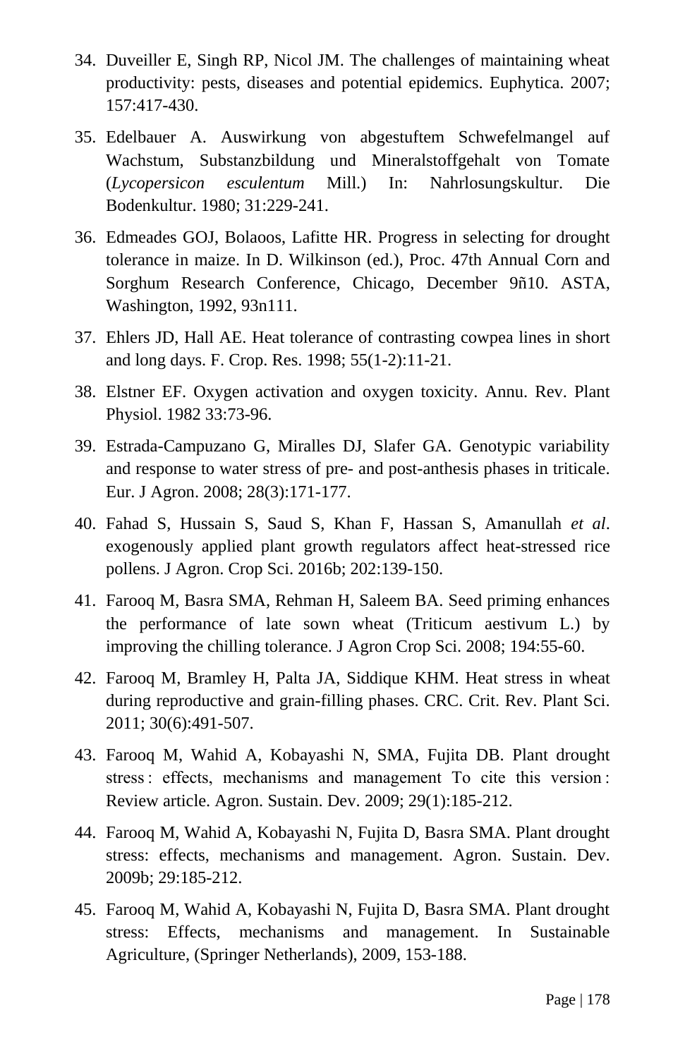- 34. Duveiller E, Singh RP, Nicol JM. The challenges of maintaining wheat productivity: pests, diseases and potential epidemics. Euphytica. 2007; 157:417-430.
- 35. Edelbauer A. Auswirkung von abgestuftem Schwefelmangel auf Wachstum, Substanzbildung und Mineralstoffgehalt von Tomate (*Lycopersicon esculentum* Mill.) In: Nahrlosungskultur. Die Bodenkultur. 1980; 31:229-241.
- 36. Edmeades GOJ, Bolaoos, Lafitte HR. Progress in selecting for drought tolerance in maize. In D. Wilkinson (ed.), Proc. 47th Annual Corn and Sorghum Research Conference, Chicago, December 9ñ10. ASTA, Washington, 1992, 93n111.
- 37. Ehlers JD, Hall AE. Heat tolerance of contrasting cowpea lines in short and long days. F. Crop. Res. 1998; 55(1-2):11-21.
- 38. Elstner EF. Oxygen activation and oxygen toxicity. Annu. Rev. Plant Physiol. 1982 33:73-96.
- 39. Estrada-Campuzano G, Miralles DJ, Slafer GA. Genotypic variability and response to water stress of pre- and post-anthesis phases in triticale. Eur. J Agron. 2008; 28(3):171-177.
- 40. Fahad S, Hussain S, Saud S, Khan F, Hassan S, Amanullah *et al*. exogenously applied plant growth regulators affect heat-stressed rice pollens. J Agron. Crop Sci. 2016b; 202:139-150.
- 41. Farooq M, Basra SMA, Rehman H, Saleem BA. Seed priming enhances the performance of late sown wheat (Triticum aestivum L.) by improving the chilling tolerance. J Agron Crop Sci. 2008; 194:55-60.
- 42. Farooq M, Bramley H, Palta JA, Siddique KHM. Heat stress in wheat during reproductive and grain-filling phases. CRC. Crit. Rev. Plant Sci. 2011; 30(6):491-507.
- 43. Farooq M, Wahid A, Kobayashi N, SMA, Fujita DB. Plant drought stress : effects, mechanisms and management To cite this version : Review article. Agron. Sustain. Dev. 2009; 29(1):185-212.
- 44. Farooq M, Wahid A, Kobayashi N, Fujita D, Basra SMA. Plant drought stress: effects, mechanisms and management. Agron. Sustain. Dev. 2009b; 29:185-212.
- 45. Farooq M, Wahid A, Kobayashi N, Fujita D, Basra SMA. Plant drought stress: Effects, mechanisms and management. In Sustainable Agriculture, (Springer Netherlands), 2009, 153-188.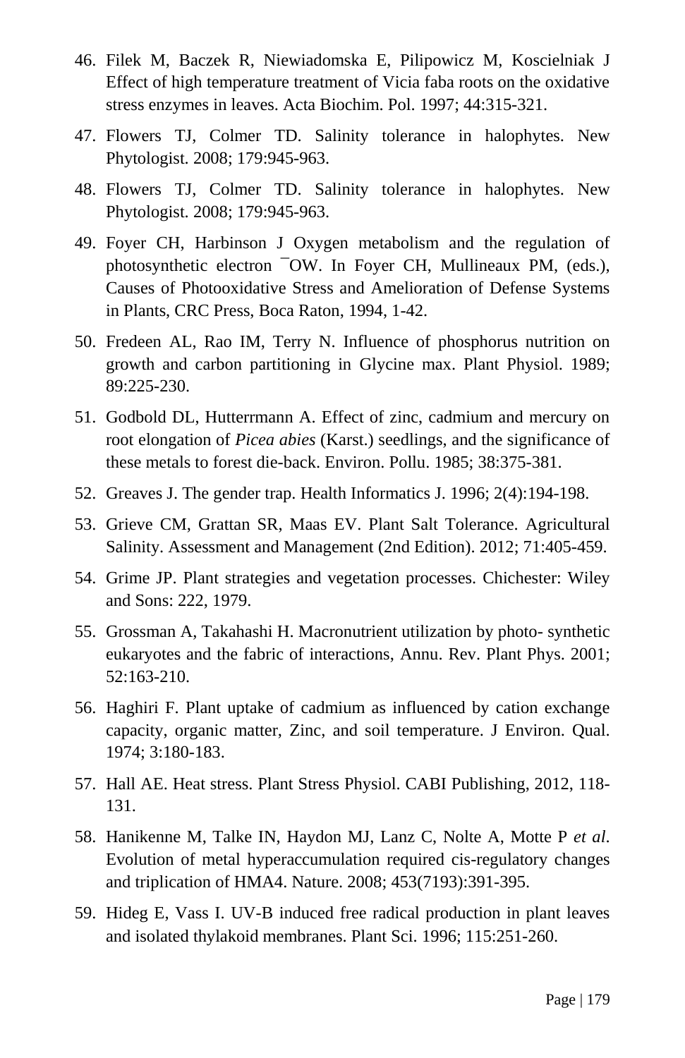- 46. Filek M, Baczek R, Niewiadomska E, Pilipowicz M, Koscielniak J Effect of high temperature treatment of Vicia faba roots on the oxidative stress enzymes in leaves. Acta Biochim. Pol. 1997; 44:315-321.
- 47. Flowers TJ, Colmer TD. Salinity tolerance in halophytes. New Phytologist. 2008; 179:945-963.
- 48. Flowers TJ, Colmer TD. Salinity tolerance in halophytes. New Phytologist. 2008; 179:945-963.
- 49. Foyer CH, Harbinson J Oxygen metabolism and the regulation of photosynthetic electron ¯OW. In Foyer CH, Mullineaux PM, (eds.), Causes of Photooxidative Stress and Amelioration of Defense Systems in Plants, CRC Press, Boca Raton, 1994, 1-42.
- 50. Fredeen AL, Rao IM, Terry N. Influence of phosphorus nutrition on growth and carbon partitioning in Glycine max. Plant Physiol. 1989; 89:225-230.
- 51. Godbold DL, Hutterrmann A. Effect of zinc, cadmium and mercury on root elongation of *Picea abies* (Karst.) seedlings, and the significance of these metals to forest die-back. Environ. Pollu. 1985; 38:375-381.
- 52. Greaves J. The gender trap. Health Informatics J. 1996; 2(4):194-198.
- 53. Grieve CM, Grattan SR, Maas EV. Plant Salt Tolerance. Agricultural Salinity. Assessment and Management (2nd Edition). 2012; 71:405-459.
- 54. Grime JP. Plant strategies and vegetation processes. Chichester: Wiley and Sons: 222, 1979.
- 55. Grossman A, Takahashi H. Macronutrient utilization by photo- synthetic eukaryotes and the fabric of interactions, Annu. Rev. Plant Phys. 2001; 52:163-210.
- 56. Haghiri F. Plant uptake of cadmium as influenced by cation exchange capacity, organic matter, Zinc, and soil temperature. J Environ. Qual. 1974; 3:180-183.
- 57. Hall AE. Heat stress. Plant Stress Physiol. CABI Publishing, 2012, 118- 131.
- 58. Hanikenne M, Talke IN, Haydon MJ, Lanz C, Nolte A, Motte P *et al*. Evolution of metal hyperaccumulation required cis-regulatory changes and triplication of HMA4. Nature. 2008; 453(7193):391-395.
- 59. Hideg E, Vass I. UV-B induced free radical production in plant leaves and isolated thylakoid membranes. Plant Sci. 1996; 115:251-260.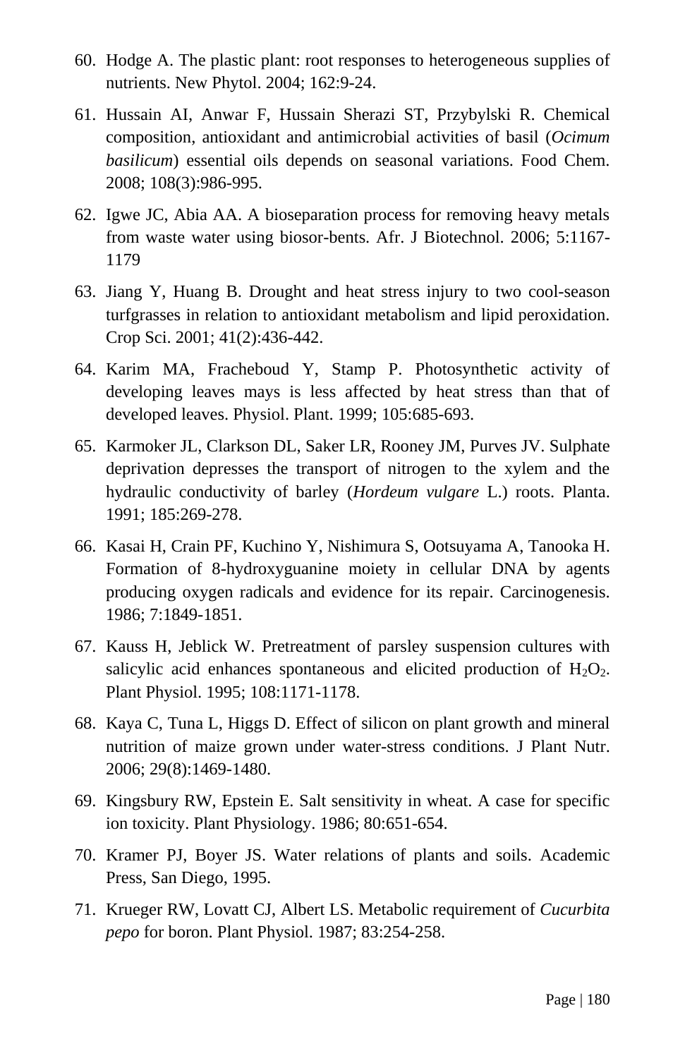- 60. Hodge A. The plastic plant: root responses to heterogeneous supplies of nutrients. New Phytol. 2004; 162:9-24.
- 61. Hussain AI, Anwar F, Hussain Sherazi ST, Przybylski R. Chemical composition, antioxidant and antimicrobial activities of basil (*Ocimum basilicum*) essential oils depends on seasonal variations. Food Chem. 2008; 108(3):986-995.
- 62. Igwe JC, Abia AA. A bioseparation process for removing heavy metals from waste water using biosor-bents. Afr. J Biotechnol. 2006; 5:1167- 1179
- 63. Jiang Y, Huang B. Drought and heat stress injury to two cool-season turfgrasses in relation to antioxidant metabolism and lipid peroxidation. Crop Sci. 2001; 41(2):436-442.
- 64. Karim MA, Fracheboud Y, Stamp P. Photosynthetic activity of developing leaves mays is less affected by heat stress than that of developed leaves. Physiol. Plant. 1999; 105:685-693.
- 65. Karmoker JL, Clarkson DL, Saker LR, Rooney JM, Purves JV. Sulphate deprivation depresses the transport of nitrogen to the xylem and the hydraulic conductivity of barley (*Hordeum vulgare* L.) roots. Planta. 1991; 185:269-278.
- 66. Kasai H, Crain PF, Kuchino Y, Nishimura S, Ootsuyama A, Tanooka H. Formation of 8-hydroxyguanine moiety in cellular DNA by agents producing oxygen radicals and evidence for its repair. Carcinogenesis. 1986; 7:1849-1851.
- 67. Kauss H, Jeblick W. Pretreatment of parsley suspension cultures with salicylic acid enhances spontaneous and elicited production of  $H_2O_2$ . Plant Physiol. 1995; 108:1171-1178.
- 68. Kaya C, Tuna L, Higgs D. Effect of silicon on plant growth and mineral nutrition of maize grown under water-stress conditions. J Plant Nutr. 2006; 29(8):1469-1480.
- 69. Kingsbury RW, Epstein E. Salt sensitivity in wheat. A case for specific ion toxicity. Plant Physiology. 1986; 80:651-654.
- 70. Kramer PJ, Boyer JS. Water relations of plants and soils. Academic Press, San Diego, 1995.
- 71. Krueger RW, Lovatt CJ, Albert LS. Metabolic requirement of *Cucurbita pepo* for boron. Plant Physiol. 1987; 83:254-258.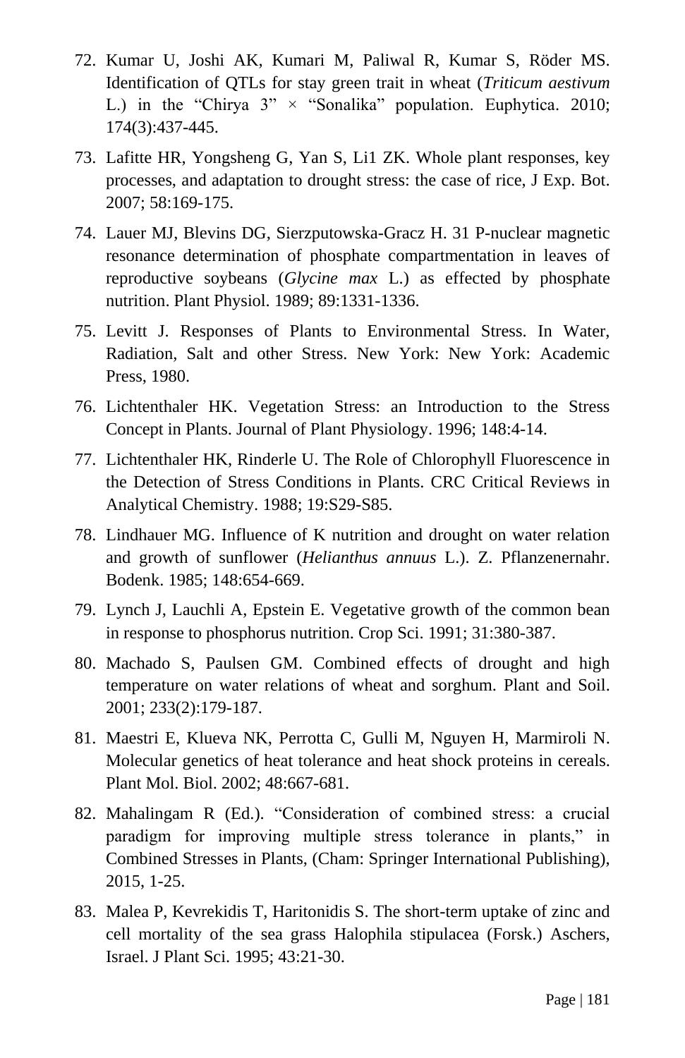- 72. Kumar U, Joshi AK, Kumari M, Paliwal R, Kumar S, Röder MS. Identification of QTLs for stay green trait in wheat (*Triticum aestivum* L.) in the "Chirya  $3$ "  $\times$  "Sonalika" population. Euphytica. 2010; 174(3):437-445.
- 73. Lafitte HR, Yongsheng G, Yan S, Li1 ZK. Whole plant responses, key processes, and adaptation to drought stress: the case of rice, J Exp. Bot. 2007; 58:169-175.
- 74. Lauer MJ, Blevins DG, Sierzputowska-Gracz H. 31 P-nuclear magnetic resonance determination of phosphate compartmentation in leaves of reproductive soybeans (*Glycine max* L.) as effected by phosphate nutrition. Plant Physiol. 1989; 89:1331-1336.
- 75. Levitt J. Responses of Plants to Environmental Stress. In Water, Radiation, Salt and other Stress. New York: New York: Academic Press, 1980.
- 76. Lichtenthaler HK. Vegetation Stress: an Introduction to the Stress Concept in Plants. Journal of Plant Physiology. 1996; 148:4-14.
- 77. Lichtenthaler HK, Rinderle U. The Role of Chlorophyll Fluorescence in the Detection of Stress Conditions in Plants. CRC Critical Reviews in Analytical Chemistry. 1988; 19:S29-S85.
- 78. Lindhauer MG. Influence of K nutrition and drought on water relation and growth of sunflower (*Helianthus annuus* L.). Z. Pflanzenernahr. Bodenk. 1985; 148:654-669.
- 79. Lynch J, Lauchli A, Epstein E. Vegetative growth of the common bean in response to phosphorus nutrition. Crop Sci. 1991; 31:380-387.
- 80. Machado S, Paulsen GM. Combined effects of drought and high temperature on water relations of wheat and sorghum. Plant and Soil. 2001; 233(2):179-187.
- 81. Maestri E, Klueva NK, Perrotta C, Gulli M, Nguyen H, Marmiroli N. Molecular genetics of heat tolerance and heat shock proteins in cereals. Plant Mol. Biol. 2002; 48:667-681.
- 82. Mahalingam R (Ed.). "Consideration of combined stress: a crucial paradigm for improving multiple stress tolerance in plants," in Combined Stresses in Plants, (Cham: Springer International Publishing), 2015, 1-25.
- 83. Malea P, Kevrekidis T, Haritonidis S. The short-term uptake of zinc and cell mortality of the sea grass Halophila stipulacea (Forsk.) Aschers, Israel. J Plant Sci. 1995; 43:21-30.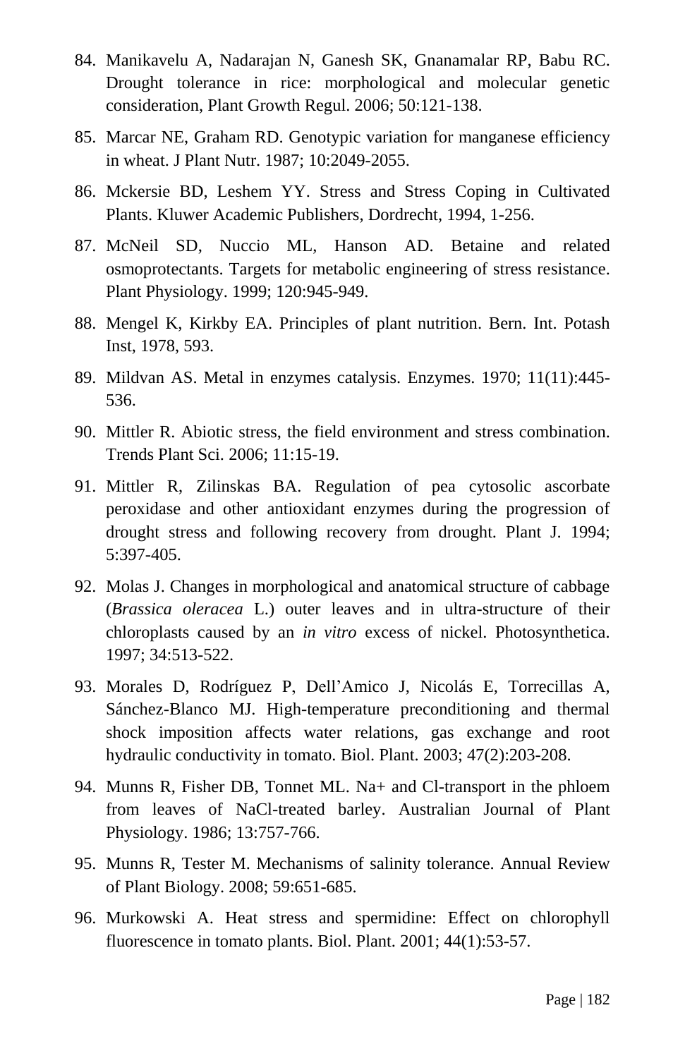- 84. Manikavelu A, Nadarajan N, Ganesh SK, Gnanamalar RP, Babu RC. Drought tolerance in rice: morphological and molecular genetic consideration, Plant Growth Regul. 2006; 50:121-138.
- 85. Marcar NE, Graham RD. Genotypic variation for manganese efficiency in wheat. J Plant Nutr. 1987; 10:2049-2055.
- 86. Mckersie BD, Leshem YY. Stress and Stress Coping in Cultivated Plants. Kluwer Academic Publishers, Dordrecht, 1994, 1-256.
- 87. McNeil SD, Nuccio ML, Hanson AD. Betaine and related osmoprotectants. Targets for metabolic engineering of stress resistance. Plant Physiology. 1999; 120:945-949.
- 88. Mengel K, Kirkby EA. Principles of plant nutrition. Bern. Int. Potash Inst, 1978, 593.
- 89. Mildvan AS. Metal in enzymes catalysis. Enzymes. 1970; 11(11):445- 536.
- 90. Mittler R. Abiotic stress, the field environment and stress combination. Trends Plant Sci. 2006; 11:15-19.
- 91. Mittler R, Zilinskas BA. Regulation of pea cytosolic ascorbate peroxidase and other antioxidant enzymes during the progression of drought stress and following recovery from drought. Plant J. 1994; 5:397-405.
- 92. Molas J. Changes in morphological and anatomical structure of cabbage (*Brassica oleracea* L.) outer leaves and in ultra-structure of their chloroplasts caused by an *in vitro* excess of nickel. Photosynthetica. 1997; 34:513-522.
- 93. Morales D, Rodríguez P, Dell'Amico J, Nicolás E, Torrecillas A, Sánchez-Blanco MJ. High-temperature preconditioning and thermal shock imposition affects water relations, gas exchange and root hydraulic conductivity in tomato. Biol. Plant. 2003; 47(2):203-208.
- 94. Munns R, Fisher DB, Tonnet ML. Na+ and Cl-transport in the phloem from leaves of NaCl-treated barley. Australian Journal of Plant Physiology. 1986; 13:757-766.
- 95. Munns R, Tester M. Mechanisms of salinity tolerance. Annual Review of Plant Biology. 2008; 59:651-685.
- 96. Murkowski A. Heat stress and spermidine: Effect on chlorophyll fluorescence in tomato plants. Biol. Plant. 2001; 44(1):53-57.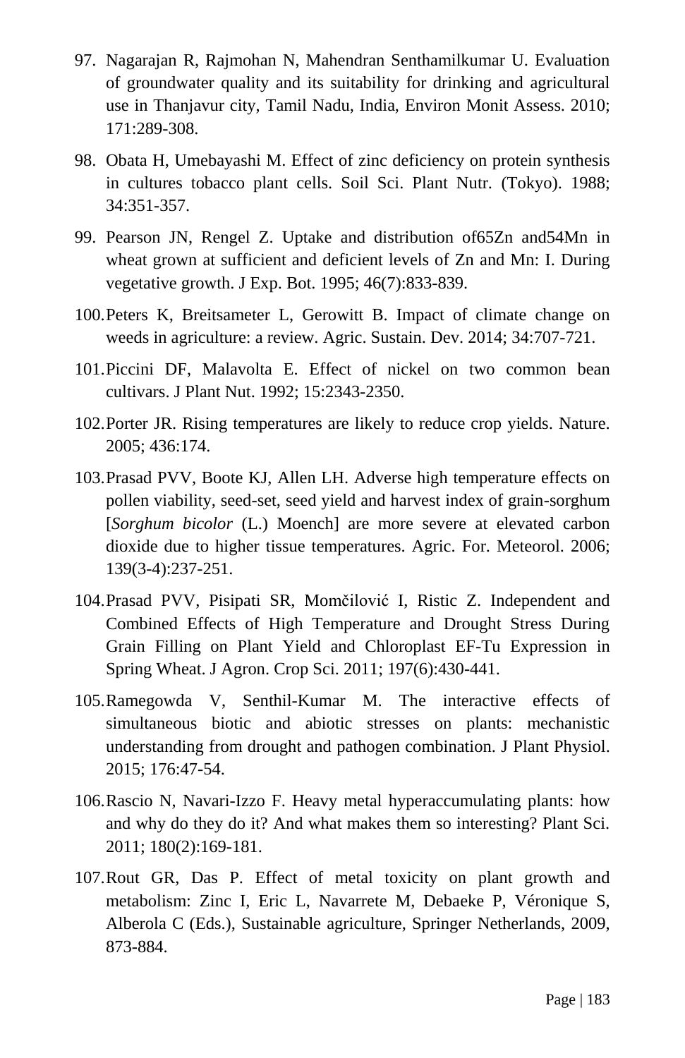- 97. Nagarajan R, Rajmohan N, Mahendran Senthamilkumar U. Evaluation of groundwater quality and its suitability for drinking and agricultural use in Thanjavur city, Tamil Nadu, India, Environ Monit Assess. 2010; 171:289-308.
- 98. Obata H, Umebayashi M. Effect of zinc deficiency on protein synthesis in cultures tobacco plant cells. Soil Sci. Plant Nutr. (Tokyo). 1988; 34:351-357.
- 99. Pearson JN, Rengel Z. Uptake and distribution of65Zn and54Mn in wheat grown at sufficient and deficient levels of Zn and Mn: I. During vegetative growth. J Exp. Bot. 1995; 46(7):833-839.
- 100.Peters K, Breitsameter L, Gerowitt B. Impact of climate change on weeds in agriculture: a review. Agric. Sustain. Dev. 2014; 34:707-721.
- 101.Piccini DF, Malavolta E. Effect of nickel on two common bean cultivars. J Plant Nut. 1992; 15:2343-2350.
- 102.Porter JR. Rising temperatures are likely to reduce crop yields. Nature. 2005; 436:174.
- 103.Prasad PVV, Boote KJ, Allen LH. Adverse high temperature effects on pollen viability, seed-set, seed yield and harvest index of grain-sorghum [*Sorghum bicolor* (L.) Moench] are more severe at elevated carbon dioxide due to higher tissue temperatures. Agric. For. Meteorol. 2006; 139(3-4):237-251.
- 104.Prasad PVV, Pisipati SR, Momčilović I, Ristic Z. Independent and Combined Effects of High Temperature and Drought Stress During Grain Filling on Plant Yield and Chloroplast EF-Tu Expression in Spring Wheat. J Agron. Crop Sci. 2011; 197(6):430-441.
- 105.Ramegowda V, Senthil-Kumar M. The interactive effects of simultaneous biotic and abiotic stresses on plants: mechanistic understanding from drought and pathogen combination. J Plant Physiol. 2015; 176:47-54.
- 106.Rascio N, Navari-Izzo F. Heavy metal hyperaccumulating plants: how and why do they do it? And what makes them so interesting? Plant Sci. 2011; 180(2):169-181.
- 107.Rout GR, Das P. Effect of metal toxicity on plant growth and metabolism: Zinc I, Eric L, Navarrete M, Debaeke P, Véronique S, Alberola C (Eds.), Sustainable agriculture, Springer Netherlands, 2009, 873-884.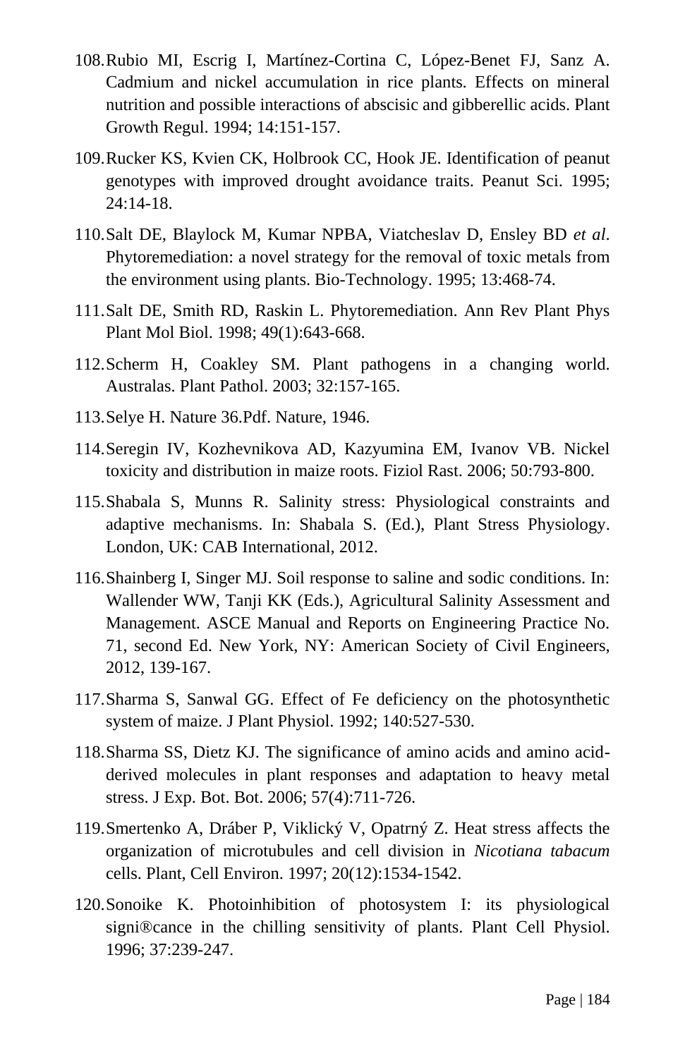- 108.Rubio MI, Escrig I, Martínez-Cortina C, López-Benet FJ, Sanz A. Cadmium and nickel accumulation in rice plants. Effects on mineral nutrition and possible interactions of abscisic and gibberellic acids. Plant Growth Regul. 1994; 14:151-157.
- 109.Rucker KS, Kvien CK, Holbrook CC, Hook JE. Identification of peanut genotypes with improved drought avoidance traits. Peanut Sci. 1995; 24:14-18.
- 110.Salt DE, Blaylock M, Kumar NPBA, Viatcheslav D, Ensley BD *et al*. Phytoremediation: a novel strategy for the removal of toxic metals from the environment using plants. Bio-Technology. 1995; 13:468-74.
- 111.Salt DE, Smith RD, Raskin L. Phytoremediation. Ann Rev Plant Phys Plant Mol Biol. 1998; 49(1):643-668.
- 112.Scherm H, Coakley SM. Plant pathogens in a changing world. Australas. Plant Pathol. 2003; 32:157-165.
- 113.Selye H. Nature 36.Pdf. Nature, 1946.
- 114.Seregin IV, Kozhevnikova AD, Kazyumina EM, Ivanov VB. Nickel toxicity and distribution in maize roots. Fiziol Rast. 2006; 50:793-800.
- 115.Shabala S, Munns R. Salinity stress: Physiological constraints and adaptive mechanisms. In: Shabala S. (Ed.), Plant Stress Physiology. London, UK: CAB International, 2012.
- 116.Shainberg I, Singer MJ. Soil response to saline and sodic conditions. In: Wallender WW, Tanji KK (Eds.), Agricultural Salinity Assessment and Management. ASCE Manual and Reports on Engineering Practice No. 71, second Ed. New York, NY: American Society of Civil Engineers, 2012, 139-167.
- 117.Sharma S, Sanwal GG. Effect of Fe deficiency on the photosynthetic system of maize. J Plant Physiol. 1992; 140:527-530.
- 118.Sharma SS, Dietz KJ. The significance of amino acids and amino acidderived molecules in plant responses and adaptation to heavy metal stress. J Exp. Bot. Bot. 2006; 57(4):711-726.
- 119.Smertenko A, Dráber P, Viklický V, Opatrný Z. Heat stress affects the organization of microtubules and cell division in *Nicotiana tabacum* cells. Plant, Cell Environ. 1997; 20(12):1534-1542.
- 120.Sonoike K. Photoinhibition of photosystem I: its physiological signi®cance in the chilling sensitivity of plants. Plant Cell Physiol. 1996; 37:239-247.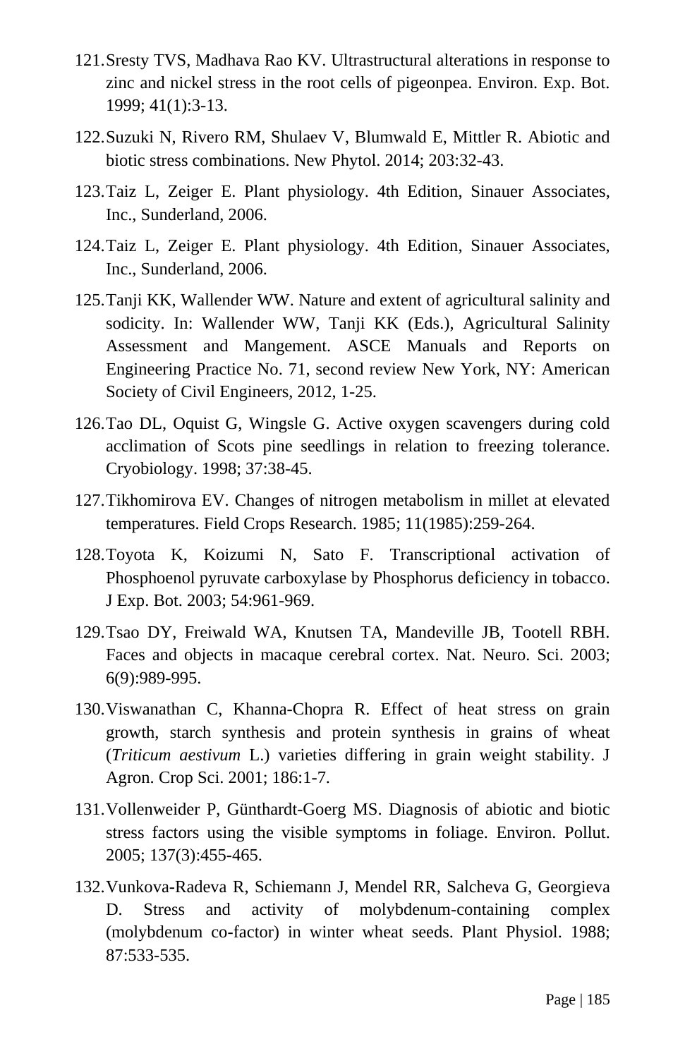- 121.Sresty TVS, Madhava Rao KV. Ultrastructural alterations in response to zinc and nickel stress in the root cells of pigeonpea. Environ. Exp. Bot. 1999; 41(1):3-13.
- 122.Suzuki N, Rivero RM, Shulaev V, Blumwald E, Mittler R. Abiotic and biotic stress combinations. New Phytol. 2014; 203:32-43.
- 123.Taiz L, Zeiger E. Plant physiology. 4th Edition, Sinauer Associates, Inc., Sunderland, 2006.
- 124.Taiz L, Zeiger E. Plant physiology. 4th Edition, Sinauer Associates, Inc., Sunderland, 2006.
- 125.Tanji KK, Wallender WW. Nature and extent of agricultural salinity and sodicity. In: Wallender WW, Tanji KK (Eds.), Agricultural Salinity Assessment and Mangement. ASCE Manuals and Reports on Engineering Practice No. 71, second review New York, NY: American Society of Civil Engineers, 2012, 1-25.
- 126.Tao DL, Oquist G, Wingsle G. Active oxygen scavengers during cold acclimation of Scots pine seedlings in relation to freezing tolerance. Cryobiology. 1998; 37:38-45.
- 127.Tikhomirova EV. Changes of nitrogen metabolism in millet at elevated temperatures. Field Crops Research. 1985; 11(1985):259-264.
- 128.Toyota K, Koizumi N, Sato F. Transcriptional activation of Phosphoenol pyruvate carboxylase by Phosphorus deficiency in tobacco. J Exp. Bot. 2003; 54:961-969.
- 129.Tsao DY, Freiwald WA, Knutsen TA, Mandeville JB, Tootell RBH. Faces and objects in macaque cerebral cortex. Nat. Neuro. Sci. 2003; 6(9):989-995.
- 130.Viswanathan C, Khanna-Chopra R. Effect of heat stress on grain growth, starch synthesis and protein synthesis in grains of wheat (*Triticum aestivum* L.) varieties differing in grain weight stability. J Agron. Crop Sci. 2001; 186:1-7.
- 131.Vollenweider P, Günthardt-Goerg MS. Diagnosis of abiotic and biotic stress factors using the visible symptoms in foliage. Environ. Pollut. 2005; 137(3):455-465.
- 132.Vunkova-Radeva R, Schiemann J, Mendel RR, Salcheva G, Georgieva D. Stress and activity of molybdenum-containing complex (molybdenum co-factor) in winter wheat seeds. Plant Physiol. 1988; 87:533-535.